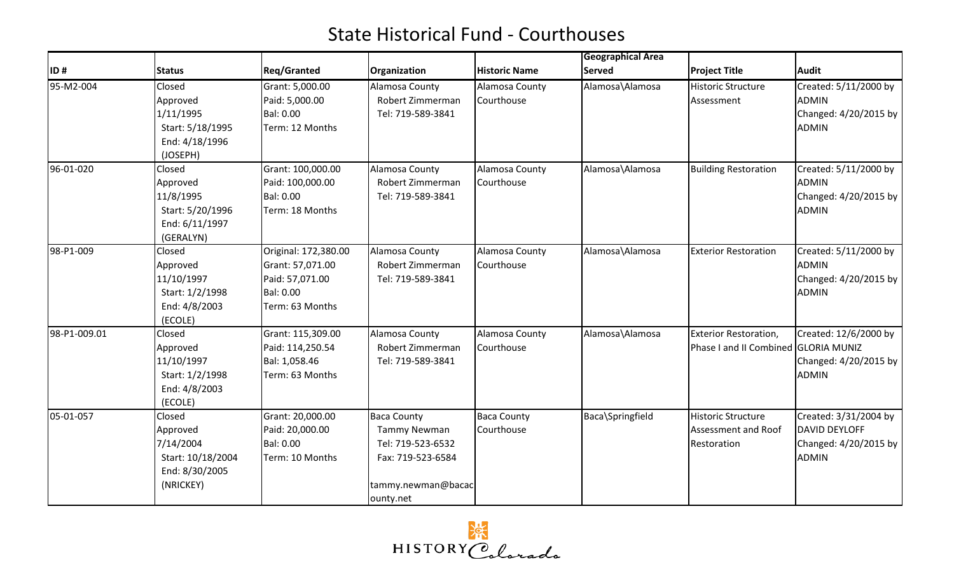|              |                                                                                                |                                                                                             |                                                                                                                        |                                  | <b>Geographical Area</b> |                                                                      |                                                                                        |
|--------------|------------------------------------------------------------------------------------------------|---------------------------------------------------------------------------------------------|------------------------------------------------------------------------------------------------------------------------|----------------------------------|--------------------------|----------------------------------------------------------------------|----------------------------------------------------------------------------------------|
| ID#          | <b>Status</b>                                                                                  | <b>Reg/Granted</b>                                                                          | Organization                                                                                                           | <b>Historic Name</b>             | <b>Served</b>            | <b>Project Title</b>                                                 | <b>Audit</b>                                                                           |
| 95-M2-004    | Closed<br>Approved<br>1/11/1995<br>Start: 5/18/1995<br>End: 4/18/1996                          | Grant: 5,000.00<br>Paid: 5,000.00<br>Bal: 0.00<br>Term: 12 Months                           | Alamosa County<br>Robert Zimmerman<br>Tel: 719-589-3841                                                                | Alamosa County<br>Courthouse     | Alamosa\Alamosa          | <b>Historic Structure</b><br>Assessment                              | Created: 5/11/2000 by<br><b>ADMIN</b><br>Changed: 4/20/2015 by<br><b>ADMIN</b>         |
| 96-01-020    | (JOSEPH)<br>Closed<br>Approved<br>11/8/1995<br>Start: 5/20/1996<br>End: 6/11/1997<br>(GERALYN) | Grant: 100,000.00<br>Paid: 100,000.00<br>Bal: 0.00<br>Term: 18 Months                       | Alamosa County<br>Robert Zimmerman<br>Tel: 719-589-3841                                                                | Alamosa County<br>Courthouse     | Alamosa\Alamosa          | <b>Building Restoration</b>                                          | Created: 5/11/2000 by<br><b>ADMIN</b><br>Changed: 4/20/2015 by<br><b>ADMIN</b>         |
| 98-P1-009    | Closed<br>Approved<br>11/10/1997<br>Start: 1/2/1998<br>End: 4/8/2003<br>(ECOLE)                | Original: 172,380.00<br>Grant: 57,071.00<br>Paid: 57,071.00<br>Bal: 0.00<br>Term: 63 Months | Alamosa County<br>Robert Zimmerman<br>Tel: 719-589-3841                                                                | Alamosa County<br>Courthouse     | Alamosa\Alamosa          | <b>Exterior Restoration</b>                                          | Created: 5/11/2000 by<br><b>ADMIN</b><br>Changed: 4/20/2015 by<br><b>ADMIN</b>         |
| 98-P1-009.01 | Closed<br>Approved<br>11/10/1997<br>Start: 1/2/1998<br>End: 4/8/2003<br>(ECOLE)                | Grant: 115,309.00<br>Paid: 114,250.54<br>Bal: 1,058.46<br>Term: 63 Months                   | Alamosa County<br>Robert Zimmerman<br>Tel: 719-589-3841                                                                | Alamosa County<br>Courthouse     | Alamosa\Alamosa          | <b>Exterior Restoration,</b><br>Phase I and II Combined GLORIA MUNIZ | Created: 12/6/2000 by<br>Changed: 4/20/2015 by<br><b>ADMIN</b>                         |
| 05-01-057    | Closed<br>Approved<br>7/14/2004<br>Start: 10/18/2004<br>End: 8/30/2005<br>(NRICKEY)            | Grant: 20,000.00<br>Paid: 20,000.00<br><b>Bal: 0.00</b><br>Term: 10 Months                  | <b>Baca County</b><br><b>Tammy Newman</b><br>Tel: 719-523-6532<br>Fax: 719-523-6584<br>tammy.newman@bacac<br>ounty.net | <b>Baca County</b><br>Courthouse | Baca\Springfield         | <b>Historic Structure</b><br>Assessment and Roof<br>Restoration      | Created: 3/31/2004 by<br><b>DAVID DEYLOFF</b><br>Changed: 4/20/2015 by<br><b>ADMIN</b> |

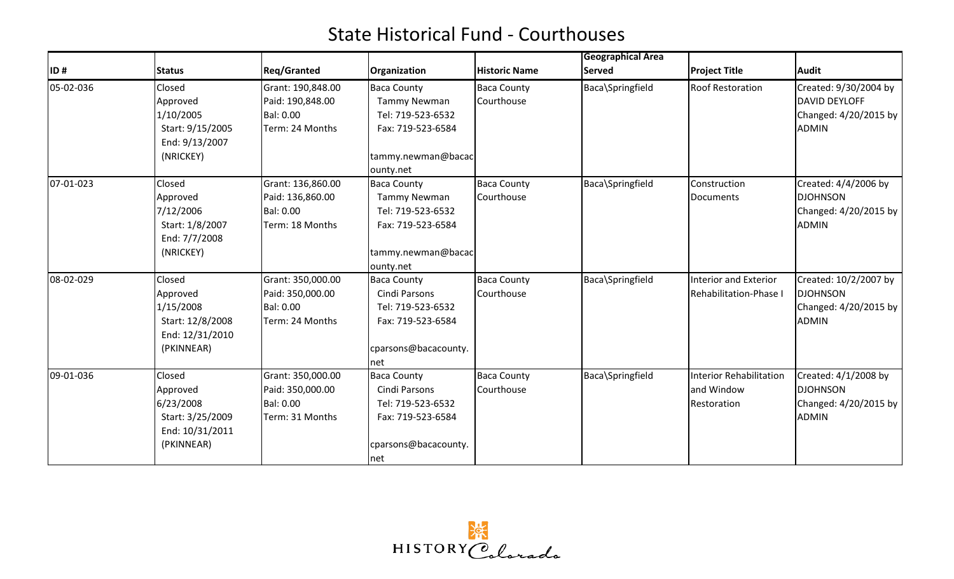|           |                                                                                      |                                                                       |                                                                                                                        |                                  | <b>Geographical Area</b> |                                                      |                                                                                        |
|-----------|--------------------------------------------------------------------------------------|-----------------------------------------------------------------------|------------------------------------------------------------------------------------------------------------------------|----------------------------------|--------------------------|------------------------------------------------------|----------------------------------------------------------------------------------------|
| ID#       | <b>Status</b>                                                                        | <b>Reg/Granted</b>                                                    | Organization                                                                                                           | <b>Historic Name</b>             | <b>Served</b>            | <b>Project Title</b>                                 | <b>Audit</b>                                                                           |
| 05-02-036 | Closed<br>Approved<br>1/10/2005<br>Start: 9/15/2005<br>End: 9/13/2007<br>(NRICKEY)   | Grant: 190,848.00<br>Paid: 190,848.00<br>Bal: 0.00<br>Term: 24 Months | <b>Baca County</b><br><b>Tammy Newman</b><br>Tel: 719-523-6532<br>Fax: 719-523-6584<br>tammy.newman@bacac<br>ounty.net | <b>Baca County</b><br>Courthouse | Baca\Springfield         | <b>Roof Restoration</b>                              | Created: 9/30/2004 by<br><b>DAVID DEYLOFF</b><br>Changed: 4/20/2015 by<br><b>ADMIN</b> |
| 07-01-023 | Closed<br>Approved<br>7/12/2006<br>Start: 1/8/2007<br>End: 7/7/2008<br>(NRICKEY)     | Grant: 136,860.00<br>Paid: 136,860.00<br>Bal: 0.00<br>Term: 18 Months | <b>Baca County</b><br><b>Tammy Newman</b><br>Tel: 719-523-6532<br>Fax: 719-523-6584<br>tammy.newman@bacac<br>ounty.net | <b>Baca County</b><br>Courthouse | Baca\Springfield         | Construction<br>Documents                            | Created: 4/4/2006 by<br><b>DJOHNSON</b><br>Changed: 4/20/2015 by<br><b>ADMIN</b>       |
| 08-02-029 | Closed<br>Approved<br>1/15/2008<br>Start: 12/8/2008<br>End: 12/31/2010<br>(PKINNEAR) | Grant: 350,000.00<br>Paid: 350,000.00<br>Bal: 0.00<br>Term: 24 Months | <b>Baca County</b><br>Cindi Parsons<br>Tel: 719-523-6532<br>Fax: 719-523-6584<br>cparsons@bacacounty.<br>net           | <b>Baca County</b><br>Courthouse | Baca\Springfield         | Interior and Exterior<br>Rehabilitation-Phase I      | Created: 10/2/2007 by<br><b>DJOHNSON</b><br>Changed: 4/20/2015 by<br><b>ADMIN</b>      |
| 09-01-036 | Closed<br>Approved<br>6/23/2008<br>Start: 3/25/2009<br>End: 10/31/2011<br>(PKINNEAR) | Grant: 350,000.00<br>Paid: 350,000.00<br>Bal: 0.00<br>Term: 31 Months | <b>Baca County</b><br>Cindi Parsons<br>Tel: 719-523-6532<br>Fax: 719-523-6584<br>cparsons@bacacounty.<br>net           | <b>Baca County</b><br>Courthouse | Baca\Springfield         | Interior Rehabilitation<br>and Window<br>Restoration | Created: 4/1/2008 by<br><b>DJOHNSON</b><br>Changed: 4/20/2015 by<br><b>ADMIN</b>       |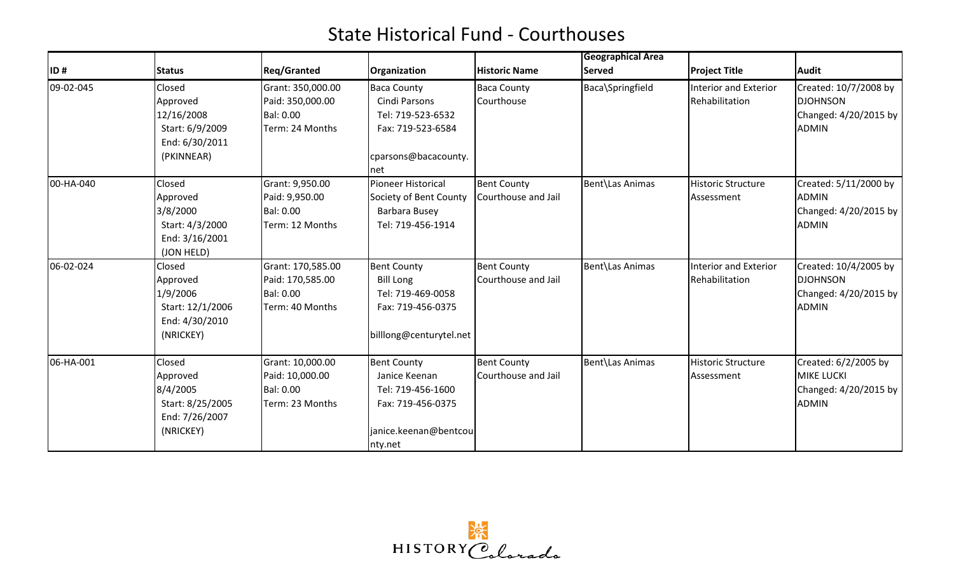|           |                                                                                     |                                                                              |                                                                                                                   |                                           | <b>Geographical Area</b> |                                         |                                                                                    |
|-----------|-------------------------------------------------------------------------------------|------------------------------------------------------------------------------|-------------------------------------------------------------------------------------------------------------------|-------------------------------------------|--------------------------|-----------------------------------------|------------------------------------------------------------------------------------|
| ID#       | <b>Status</b>                                                                       | <b>Reg/Granted</b>                                                           | Organization                                                                                                      | <b>Historic Name</b>                      | <b>Served</b>            | <b>Project Title</b>                    | Audit                                                                              |
| 09-02-045 | Closed<br>Approved<br>12/16/2008<br>Start: 6/9/2009<br>End: 6/30/2011<br>(PKINNEAR) | Grant: 350,000.00<br>Paid: 350,000.00<br><b>Bal: 0.00</b><br>Term: 24 Months | <b>Baca County</b><br>Cindi Parsons<br>Tel: 719-523-6532<br>Fax: 719-523-6584<br>cparsons@bacacounty.<br>Inet     | <b>Baca County</b><br>Courthouse          | Baca\Springfield         | Interior and Exterior<br>Rehabilitation | Created: 10/7/2008 by<br><b>DJOHNSON</b><br>Changed: 4/20/2015 by<br><b>ADMIN</b>  |
| 00-HA-040 | Closed<br>Approved<br>3/8/2000<br>Start: 4/3/2000<br>End: 3/16/2001<br>(JON HELD)   | Grant: 9,950.00<br>Paid: 9,950.00<br><b>Bal: 0.00</b><br>Term: 12 Months     | Pioneer Historical<br>Society of Bent County<br>Barbara Busey<br>Tel: 719-456-1914                                | <b>Bent County</b><br>Courthouse and Jail | Bent\Las Animas          | <b>Historic Structure</b><br>Assessment | Created: 5/11/2000 by<br><b>ADMIN</b><br>Changed: 4/20/2015 by<br>ADMIN            |
| 06-02-024 | Closed<br>Approved<br>1/9/2006<br>Start: 12/1/2006<br>End: 4/30/2010<br>(NRICKEY)   | Grant: 170,585.00<br>Paid: 170,585.00<br>Bal: 0.00<br>Term: 40 Months        | <b>Bent County</b><br><b>Bill Long</b><br>Tel: 719-469-0058<br>Fax: 719-456-0375<br>billlong@centurytel.net       | <b>Bent County</b><br>Courthouse and Jail | Bent\Las Animas          | Interior and Exterior<br>Rehabilitation | Created: 10/4/2005 by<br><b>DJOHNSON</b><br>Changed: 4/20/2015 by<br><b>ADMIN</b>  |
| 06-HA-001 | Closed<br>Approved<br>8/4/2005<br>Start: 8/25/2005<br>End: 7/26/2007<br>(NRICKEY)   | Grant: 10,000.00<br>Paid: 10,000.00<br><b>Bal: 0.00</b><br>Term: 23 Months   | <b>Bent County</b><br>Janice Keenan<br>Tel: 719-456-1600<br>Fax: 719-456-0375<br>janice.keenan@bentcou<br>nty.net | <b>Bent County</b><br>Courthouse and Jail | Bent\Las Animas          | <b>Historic Structure</b><br>Assessment | Created: 6/2/2005 by<br><b>MIKE LUCKI</b><br>Changed: 4/20/2015 by<br><b>ADMIN</b> |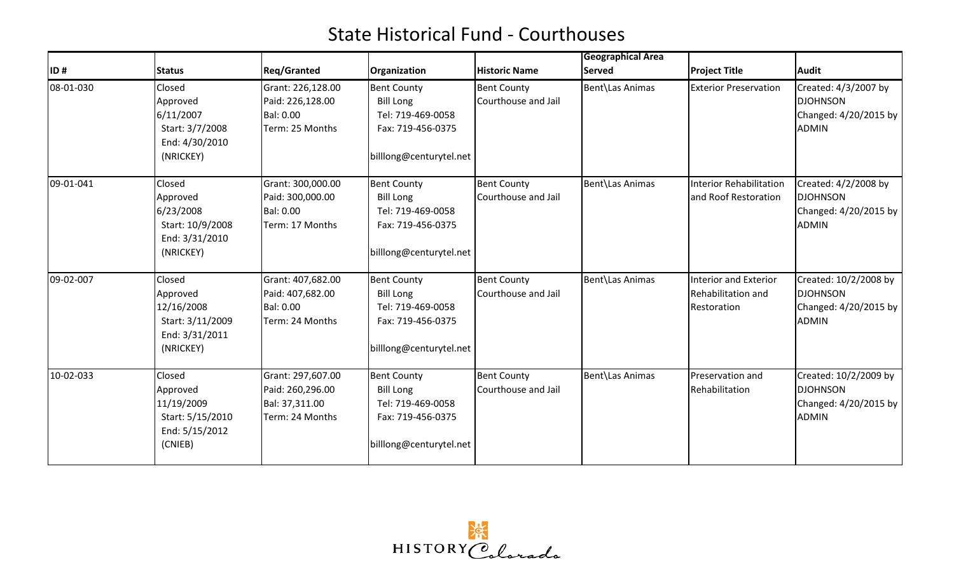| ID#       | <b>Status</b>                                                                       | <b>Reg/Granted</b>                                                           | Organization                                                                                                | <b>Historic Name</b>                      | Geographical Area<br><b>Served</b> | <b>Project Title</b>                                              | <b>Audit</b>                                                                        |
|-----------|-------------------------------------------------------------------------------------|------------------------------------------------------------------------------|-------------------------------------------------------------------------------------------------------------|-------------------------------------------|------------------------------------|-------------------------------------------------------------------|-------------------------------------------------------------------------------------|
| 08-01-030 | Closed<br>Approved<br>6/11/2007<br>Start: 3/7/2008<br>End: 4/30/2010<br>(NRICKEY)   | Grant: 226,128.00<br>Paid: 226,128.00<br><b>Bal: 0.00</b><br>Term: 25 Months | <b>Bent County</b><br><b>Bill Long</b><br>Tel: 719-469-0058<br>Fax: 719-456-0375<br>billlong@centurytel.net | <b>Bent County</b><br>Courthouse and Jail | Bent\Las Animas                    | <b>Exterior Preservation</b>                                      | Created: 4/3/2007 by<br><b>DJOHNSON</b><br>Changed: 4/20/2015 by<br><b>ADMIN</b>    |
| 09-01-041 | Closed<br>Approved<br>6/23/2008<br>Start: 10/9/2008<br>End: 3/31/2010<br>(NRICKEY)  | Grant: 300,000.00<br>Paid: 300,000.00<br><b>Bal: 0.00</b><br>Term: 17 Months | <b>Bent County</b><br><b>Bill Long</b><br>Tel: 719-469-0058<br>Fax: 719-456-0375<br>billlong@centurytel.net | <b>Bent County</b><br>Courthouse and Jail | Bent\Las Animas                    | <b>Interior Rehabilitation</b><br>and Roof Restoration            | Created: 4/2/2008 by<br><b>DJOHNSON</b><br>Changed: 4/20/2015 by<br><b>ADMIN</b>    |
| 09-02-007 | Closed<br>Approved<br>12/16/2008<br>Start: 3/11/2009<br>End: 3/31/2011<br>(NRICKEY) | Grant: 407,682.00<br>Paid: 407,682.00<br><b>Bal: 0.00</b><br>Term: 24 Months | <b>Bent County</b><br><b>Bill Long</b><br>Tel: 719-469-0058<br>Fax: 719-456-0375<br>billlong@centurytel.net | <b>Bent County</b><br>Courthouse and Jail | Bent\Las Animas                    | <b>Interior and Exterior</b><br>Rehabilitation and<br>Restoration | Created: 10/2/2008 by<br><b>DJOHNSON</b><br>Changed: $4/20/2015$ by<br><b>ADMIN</b> |
| 10-02-033 | Closed<br>Approved<br>11/19/2009<br>Start: 5/15/2010<br>End: 5/15/2012<br>(CNIEB)   | Grant: 297,607.00<br>Paid: 260,296.00<br>Bal: 37,311.00<br>Term: 24 Months   | <b>Bent County</b><br><b>Bill Long</b><br>Tel: 719-469-0058<br>Fax: 719-456-0375<br>billlong@centurytel.net | <b>Bent County</b><br>Courthouse and Jail | Bent\Las Animas                    | Preservation and<br>Rehabilitation                                | Created: 10/2/2009 by<br><b>DJOHNSON</b><br>Changed: 4/20/2015 by<br><b>ADMIN</b>   |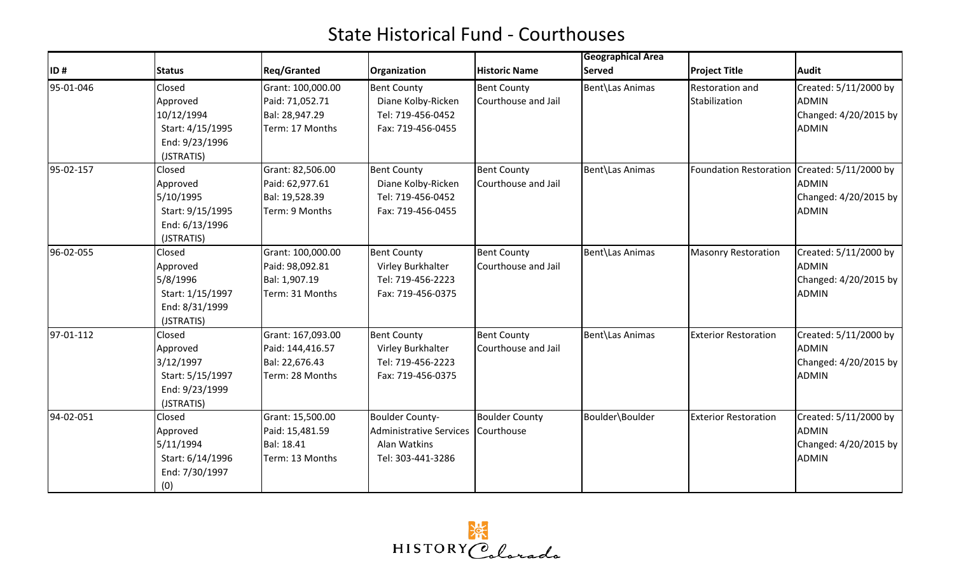|           |                                                                                      |                                                                            |                                                                                               |                                           | <b>Geographical Area</b> |                                  |                                                                                |
|-----------|--------------------------------------------------------------------------------------|----------------------------------------------------------------------------|-----------------------------------------------------------------------------------------------|-------------------------------------------|--------------------------|----------------------------------|--------------------------------------------------------------------------------|
| ID#       | <b>Status</b>                                                                        | <b>Reg/Granted</b>                                                         | Organization                                                                                  | <b>Historic Name</b>                      | <b>Served</b>            | <b>Project Title</b>             | <b>Audit</b>                                                                   |
| 95-01-046 | Closed<br>Approved<br>10/12/1994<br>Start: 4/15/1995<br>End: 9/23/1996<br>(JSTRATIS) | Grant: 100,000.00<br>Paid: 71,052.71<br>Bal: 28,947.29<br>Term: 17 Months  | <b>Bent County</b><br>Diane Kolby-Ricken<br>Tel: 719-456-0452<br>Fax: 719-456-0455            | <b>Bent County</b><br>Courthouse and Jail | Bent\Las Animas          | Restoration and<br>Stabilization | Created: 5/11/2000 by<br><b>ADMIN</b><br>Changed: 4/20/2015 by<br><b>ADMIN</b> |
| 95-02-157 | Closed<br>Approved<br>5/10/1995<br>Start: 9/15/1995<br>End: 6/13/1996<br>(JSTRATIS)  | Grant: 82,506.00<br>Paid: 62,977.61<br>Bal: 19,528.39<br>Term: 9 Months    | <b>Bent County</b><br>Diane Kolby-Ricken<br>Tel: 719-456-0452<br>Fax: 719-456-0455            | <b>Bent County</b><br>Courthouse and Jail | Bent\Las Animas          | <b>Foundation Restoration</b>    | Created: 5/11/2000 by<br><b>ADMIN</b><br>Changed: 4/20/2015 by<br><b>ADMIN</b> |
| 96-02-055 | Closed<br>Approved<br>5/8/1996<br>Start: 1/15/1997<br>End: 8/31/1999<br>(JSTRATIS)   | Grant: 100,000.00<br>Paid: 98,092.81<br>Bal: 1,907.19<br>Term: 31 Months   | <b>Bent County</b><br>Virley Burkhalter<br>Tel: 719-456-2223<br>Fax: 719-456-0375             | <b>Bent County</b><br>Courthouse and Jail | Bent\Las Animas          | <b>Masonry Restoration</b>       | Created: 5/11/2000 by<br><b>ADMIN</b><br>Changed: 4/20/2015 by<br><b>ADMIN</b> |
| 97-01-112 | Closed<br>Approved<br>3/12/1997<br>Start: 5/15/1997<br>End: 9/23/1999<br>(JSTRATIS)  | Grant: 167,093.00<br>Paid: 144,416.57<br>Bal: 22,676.43<br>Term: 28 Months | <b>Bent County</b><br>Virley Burkhalter<br>Tel: 719-456-2223<br>Fax: 719-456-0375             | <b>Bent County</b><br>Courthouse and Jail | Bent\Las Animas          | <b>Exterior Restoration</b>      | Created: 5/11/2000 by<br><b>ADMIN</b><br>Changed: 4/20/2015 by<br><b>ADMIN</b> |
| 94-02-051 | Closed<br>Approved<br>5/11/1994<br>Start: 6/14/1996<br>End: 7/30/1997<br>(0)         | Grant: 15,500.00<br>Paid: 15,481.59<br>Bal: 18.41<br>Term: 13 Months       | <b>Boulder County-</b><br><b>Administrative Services</b><br>Alan Watkins<br>Tel: 303-441-3286 | <b>Boulder County</b><br>Courthouse       | Boulder\Boulder          | <b>Exterior Restoration</b>      | Created: 5/11/2000 by<br><b>ADMIN</b><br>Changed: 4/20/2015 by<br><b>ADMIN</b> |

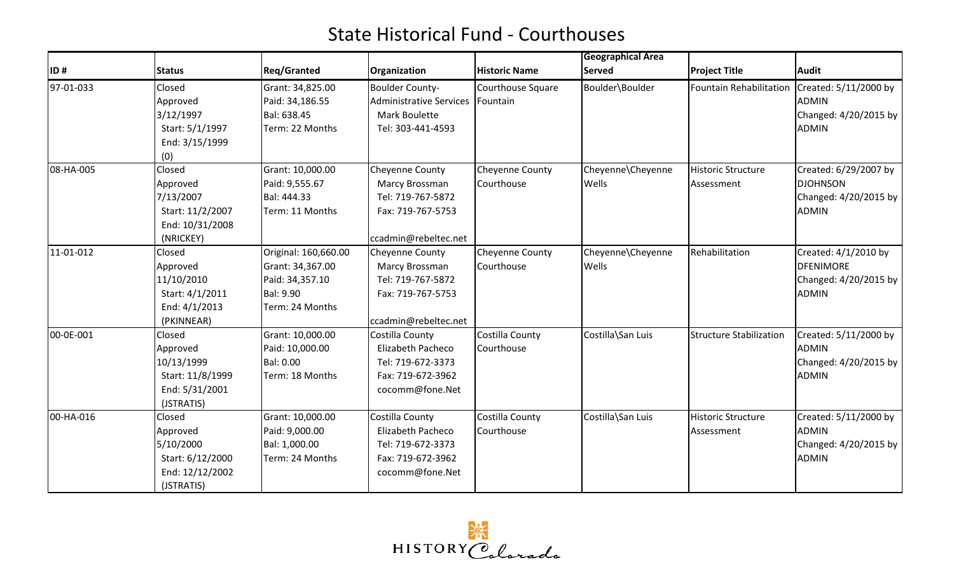|           |                                                                                      |                                                                                                    |                                                                                                            |                               | <b>Geographical Area</b>   |                                         |                                                                                   |
|-----------|--------------------------------------------------------------------------------------|----------------------------------------------------------------------------------------------------|------------------------------------------------------------------------------------------------------------|-------------------------------|----------------------------|-----------------------------------------|-----------------------------------------------------------------------------------|
| ID#       | <b>Status</b>                                                                        | <b>Reg/Granted</b>                                                                                 | Organization                                                                                               | <b>Historic Name</b>          | <b>Served</b>              | <b>Project Title</b>                    | <b>Audit</b>                                                                      |
| 97-01-033 | Closed<br>Approved<br>3/12/1997<br>Start: 5/1/1997<br>End: 3/15/1999<br>(0)          | Grant: 34,825.00<br>Paid: 34,186.55<br>Bal: 638.45<br>Term: 22 Months                              | <b>Boulder County-</b><br><b>Administrative Services</b><br>Mark Boulette<br>Tel: 303-441-4593             | Courthouse Square<br>Fountain | Boulder\Boulder            | <b>Fountain Rehabilitation</b>          | Created: 5/11/2000 by<br><b>ADMIN</b><br>Changed: 4/20/2015 by<br><b>ADMIN</b>    |
| 08-HA-005 | Closed<br>Approved<br>7/13/2007<br>Start: 11/2/2007<br>End: 10/31/2008<br>(NRICKEY)  | Grant: 10,000.00<br>Paid: 9,555.67<br>Bal: 444.33<br>Term: 11 Months                               | Cheyenne County<br>Marcy Brossman<br>Tel: 719-767-5872<br>Fax: 719-767-5753<br>ccadmin@rebeltec.net        | Cheyenne County<br>Courthouse | Cheyenne\Cheyenne<br>Wells | <b>Historic Structure</b><br>Assessment | Created: 6/29/2007 by<br><b>DJOHNSON</b><br>Changed: 4/20/2015 by<br><b>ADMIN</b> |
| 11-01-012 | Closed<br>Approved<br>11/10/2010<br>Start: 4/1/2011<br>End: 4/1/2013<br>(PKINNEAR)   | Original: 160,660.00<br>Grant: 34,367.00<br>Paid: 34,357.10<br><b>Bal: 9.90</b><br>Term: 24 Months | <b>Cheyenne County</b><br>Marcy Brossman<br>Tel: 719-767-5872<br>Fax: 719-767-5753<br>ccadmin@rebeltec.net | Cheyenne County<br>Courthouse | Cheyenne\Cheyenne<br>Wells | Rehabilitation                          | Created: 4/1/2010 by<br><b>DFENIMORE</b><br>Changed: 4/20/2015 by<br><b>ADMIN</b> |
| 00-0E-001 | Closed<br>Approved<br>10/13/1999<br>Start: 11/8/1999<br>End: 5/31/2001<br>(JSTRATIS) | Grant: 10,000.00<br>Paid: 10,000.00<br><b>Bal: 0.00</b><br>Term: 18 Months                         | Costilla County<br><b>Elizabeth Pacheco</b><br>Tel: 719-672-3373<br>Fax: 719-672-3962<br>cocomm@fone.Net   | Costilla County<br>Courthouse | Costilla\San Luis          | <b>Structure Stabilization</b>          | Created: 5/11/2000 by<br><b>ADMIN</b><br>Changed: 4/20/2015 by<br><b>ADMIN</b>    |
| 00-HA-016 | Closed<br>Approved<br>5/10/2000<br>Start: 6/12/2000<br>End: 12/12/2002<br>(JSTRATIS) | Grant: 10,000.00<br>Paid: 9,000.00<br>Bal: 1,000.00<br>Term: 24 Months                             | Costilla County<br>Elizabeth Pacheco<br>Tel: 719-672-3373<br>Fax: 719-672-3962<br>cocomm@fone.Net          | Costilla County<br>Courthouse | Costilla\San Luis          | <b>Historic Structure</b><br>Assessment | Created: 5/11/2000 by<br><b>ADMIN</b><br>Changed: 4/20/2015 by<br><b>ADMIN</b>    |

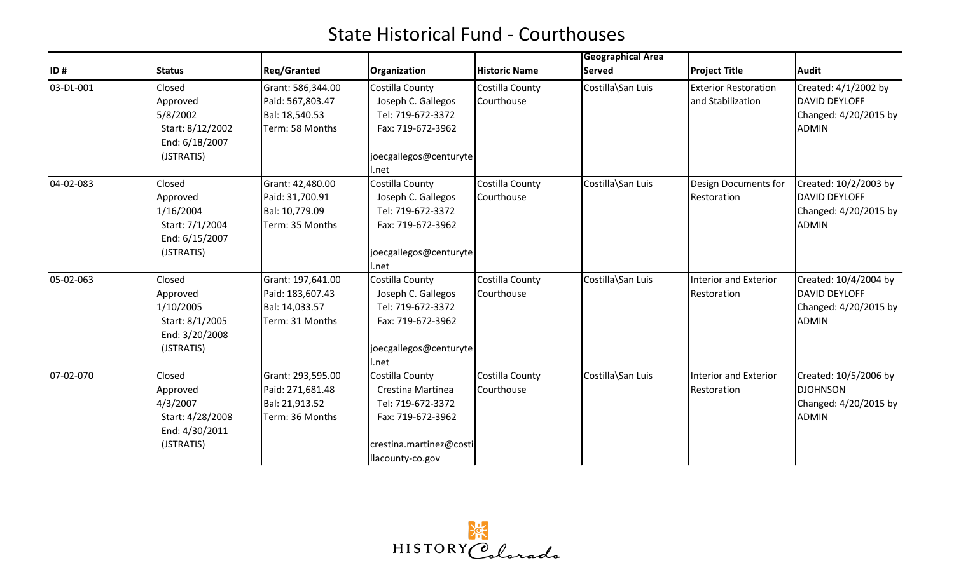|           |                                    |                    |                         |                      | <b>Geographical Area</b> |                              |                       |
|-----------|------------------------------------|--------------------|-------------------------|----------------------|--------------------------|------------------------------|-----------------------|
| ID#       | <b>Status</b>                      | <b>Reg/Granted</b> | Organization            | <b>Historic Name</b> | <b>Served</b>            | <b>Project Title</b>         | Audit                 |
| 03-DL-001 | Closed                             | Grant: 586,344.00  | Costilla County         | Costilla County      | Costilla\San Luis        | <b>Exterior Restoration</b>  | Created: 4/1/2002 by  |
|           | Approved                           | Paid: 567,803.47   | Joseph C. Gallegos      | Courthouse           |                          | and Stabilization            | <b>DAVID DEYLOFF</b>  |
|           | 5/8/2002                           | Bal: 18,540.53     | Tel: 719-672-3372       |                      |                          |                              | Changed: 4/20/2015 by |
|           | Start: 8/12/2002<br>End: 6/18/2007 | Term: 58 Months    | Fax: 719-672-3962       |                      |                          |                              | <b>ADMIN</b>          |
|           | (JSTRATIS)                         |                    | joecgallegos@centuryte  |                      |                          |                              |                       |
|           |                                    |                    | l.net                   |                      |                          |                              |                       |
| 04-02-083 | Closed                             | Grant: 42,480.00   | Costilla County         | Costilla County      | Costilla\San Luis        | Design Documents for         | Created: 10/2/2003 by |
|           | Approved                           | Paid: 31,700.91    | Joseph C. Gallegos      | Courthouse           |                          | Restoration                  | <b>DAVID DEYLOFF</b>  |
|           | 1/16/2004                          | Bal: 10,779.09     | Tel: 719-672-3372       |                      |                          |                              | Changed: 4/20/2015 by |
|           | Start: 7/1/2004                    | Term: 35 Months    | Fax: 719-672-3962       |                      |                          |                              | <b>ADMIN</b>          |
|           | End: 6/15/2007                     |                    |                         |                      |                          |                              |                       |
|           | (JSTRATIS)                         |                    | joecgallegos@centuryte  |                      |                          |                              |                       |
|           |                                    |                    | I.net                   |                      |                          |                              |                       |
| 05-02-063 | Closed                             | Grant: 197,641.00  | Costilla County         | Costilla County      | Costilla\San Luis        | <b>Interior and Exterior</b> | Created: 10/4/2004 by |
|           | Approved                           | Paid: 183,607.43   | Joseph C. Gallegos      | Courthouse           |                          | Restoration                  | DAVID DEYLOFF         |
|           | 1/10/2005                          | Bal: 14,033.57     | Tel: 719-672-3372       |                      |                          |                              | Changed: 4/20/2015 by |
|           | Start: 8/1/2005                    | Term: 31 Months    | Fax: 719-672-3962       |                      |                          |                              | <b>ADMIN</b>          |
|           | End: 3/20/2008                     |                    |                         |                      |                          |                              |                       |
|           | (JSTRATIS)                         |                    | joecgallegos@centuryte  |                      |                          |                              |                       |
|           |                                    |                    | l.net                   |                      |                          |                              |                       |
| 07-02-070 | Closed                             | Grant: 293,595.00  | <b>Costilla County</b>  | Costilla County      | Costilla\San Luis        | <b>Interior and Exterior</b> | Created: 10/5/2006 by |
|           | Approved                           | Paid: 271,681.48   | Crestina Martinea       | Courthouse           |                          | Restoration                  | <b>DJOHNSON</b>       |
|           | 4/3/2007                           | Bal: 21,913.52     | Tel: 719-672-3372       |                      |                          |                              | Changed: 4/20/2015 by |
|           | Start: 4/28/2008                   | Term: 36 Months    | Fax: 719-672-3962       |                      |                          |                              | <b>ADMIN</b>          |
|           | End: 4/30/2011                     |                    |                         |                      |                          |                              |                       |
|           | (JSTRATIS)                         |                    | crestina.martinez@costi |                      |                          |                              |                       |
|           |                                    |                    | llacounty-co.gov        |                      |                          |                              |                       |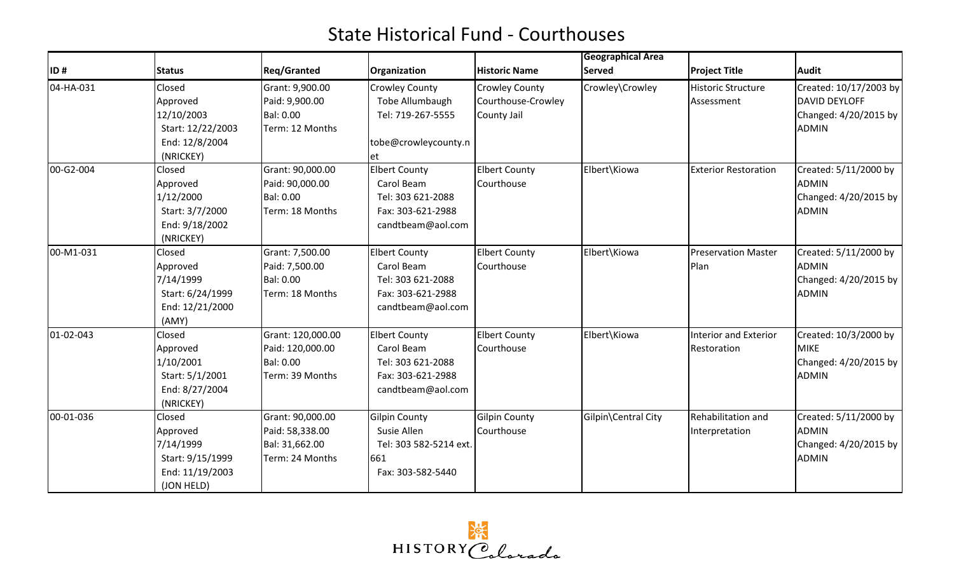|           |                   |                    |                        |                      | <b>Geographical Area</b> |                             |                        |  |
|-----------|-------------------|--------------------|------------------------|----------------------|--------------------------|-----------------------------|------------------------|--|
| ID#       | <b>Status</b>     | <b>Reg/Granted</b> | Organization           | <b>Historic Name</b> | <b>Served</b>            | <b>Project Title</b>        | <b>Audit</b>           |  |
| 04-HA-031 | Closed            | Grant: 9,900.00    | <b>Crowley County</b>  | Crowley County       | Crowley\Crowley          | Historic Structure          | Created: 10/17/2003 by |  |
|           | Approved          | Paid: 9,900.00     | Tobe Allumbaugh        | Courthouse-Crowley   |                          | Assessment                  | <b>DAVID DEYLOFF</b>   |  |
|           | 12/10/2003        | Bal: 0.00          | Tel: 719-267-5555      | County Jail          |                          |                             | Changed: 4/20/2015 by  |  |
|           | Start: 12/22/2003 | Term: 12 Months    |                        |                      |                          |                             | <b>ADMIN</b>           |  |
|           | End: 12/8/2004    |                    | tobe@crowleycounty.n   |                      |                          |                             |                        |  |
|           | (NRICKEY)         |                    | et                     |                      |                          |                             |                        |  |
| 00-G2-004 | Closed            | Grant: 90,000.00   | <b>Elbert County</b>   | <b>Elbert County</b> | Elbert\Kiowa             | <b>Exterior Restoration</b> | Created: 5/11/2000 by  |  |
|           | Approved          | Paid: 90,000.00    | Carol Beam             | Courthouse           |                          |                             | <b>ADMIN</b>           |  |
|           | 1/12/2000         | Bal: 0.00          | Tel: 303 621-2088      |                      |                          |                             | Changed: 4/20/2015 by  |  |
|           | Start: 3/7/2000   | Term: 18 Months    | Fax: 303-621-2988      |                      |                          |                             | <b>ADMIN</b>           |  |
|           | End: 9/18/2002    |                    | candtbeam@aol.com      |                      |                          |                             |                        |  |
|           | (NRICKEY)         |                    |                        |                      |                          |                             |                        |  |
| 00-M1-031 | Closed            | Grant: 7,500.00    | <b>Elbert County</b>   | <b>Elbert County</b> | Elbert\Kiowa             | <b>Preservation Master</b>  | Created: 5/11/2000 by  |  |
|           | Approved          | Paid: 7,500.00     | Carol Beam             | Courthouse           |                          | Plan                        | <b>ADMIN</b>           |  |
|           | 7/14/1999         | Bal: 0.00          | Tel: 303 621-2088      |                      |                          |                             | Changed: 4/20/2015 by  |  |
|           | Start: 6/24/1999  | Term: 18 Months    | Fax: 303-621-2988      |                      |                          |                             | <b>ADMIN</b>           |  |
|           | End: 12/21/2000   |                    | candtbeam@aol.com      |                      |                          |                             |                        |  |
|           | (AMY)             |                    |                        |                      |                          |                             |                        |  |
| 01-02-043 | Closed            | Grant: 120,000.00  | <b>Elbert County</b>   | <b>Elbert County</b> | Elbert\Kiowa             | Interior and Exterior       | Created: 10/3/2000 by  |  |
|           | Approved          | Paid: 120,000.00   | Carol Beam             | Courthouse           |                          | Restoration                 | <b>MIKE</b>            |  |
|           | 1/10/2001         | Bal: 0.00          | Tel: 303 621-2088      |                      |                          |                             | Changed: 4/20/2015 by  |  |
|           | Start: 5/1/2001   | Term: 39 Months    | Fax: 303-621-2988      |                      |                          |                             | <b>ADMIN</b>           |  |
|           | End: 8/27/2004    |                    | candtbeam@aol.com      |                      |                          |                             |                        |  |
|           | (NRICKEY)         |                    |                        |                      |                          |                             |                        |  |
| 00-01-036 | <b>Closed</b>     | Grant: 90,000.00   | <b>Gilpin County</b>   | <b>Gilpin County</b> | Gilpin\Central City      | Rehabilitation and          | Created: 5/11/2000 by  |  |
|           | Approved          | Paid: 58,338.00    | Susie Allen            | Courthouse           |                          | Interpretation              | <b>ADMIN</b>           |  |
|           | 7/14/1999         | Bal: 31,662.00     | Tel: 303 582-5214 ext. |                      |                          |                             | Changed: 4/20/2015 by  |  |
|           | Start: 9/15/1999  | Term: 24 Months    | 661                    |                      |                          |                             | <b>ADMIN</b>           |  |
|           | End: 11/19/2003   |                    | Fax: 303-582-5440      |                      |                          |                             |                        |  |
|           | (JON HELD)        |                    |                        |                      |                          |                             |                        |  |

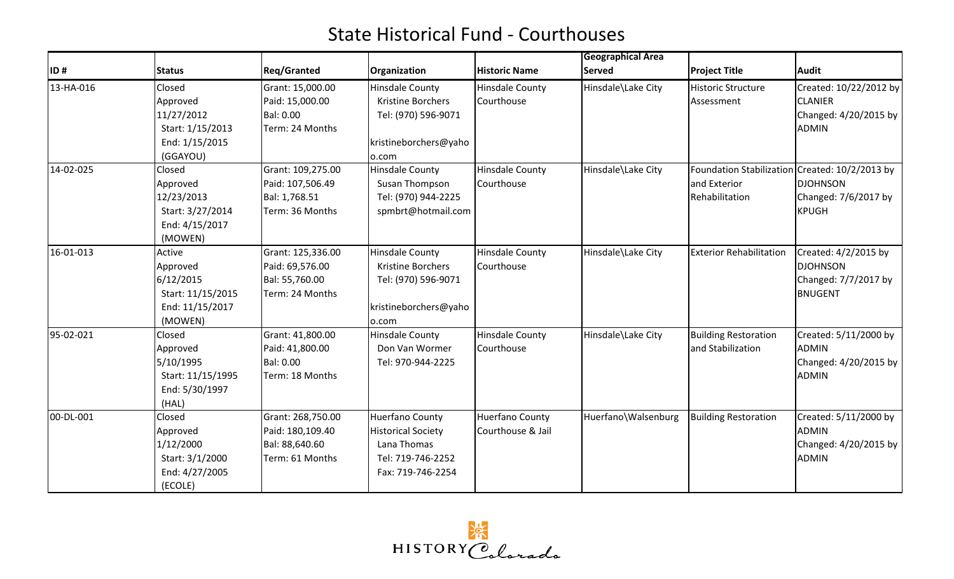|           |                   |                    |                           |                        | <b>Geographical Area</b> |                                                |                        |
|-----------|-------------------|--------------------|---------------------------|------------------------|--------------------------|------------------------------------------------|------------------------|
| ID#       | <b>Status</b>     | <b>Reg/Granted</b> | Organization              | <b>Historic Name</b>   | <b>Served</b>            | <b>Project Title</b>                           | <b>Audit</b>           |
| 13-HA-016 | Closed            | Grant: 15,000.00   | Hinsdale County           | Hinsdale County        | Hinsdale\Lake City       | Historic Structure                             | Created: 10/22/2012 by |
|           | Approved          | Paid: 15,000.00    | Kristine Borchers         | Courthouse             |                          | Assessment                                     | <b>CLANIER</b>         |
|           | 11/27/2012        | Bal: 0.00          | Tel: (970) 596-9071       |                        |                          |                                                | Changed: 4/20/2015 by  |
|           | Start: 1/15/2013  | Term: 24 Months    |                           |                        |                          |                                                | <b>ADMIN</b>           |
|           | End: 1/15/2015    |                    | kristineborchers@yaho     |                        |                          |                                                |                        |
|           | (GGAYOU)          |                    | o.com                     |                        |                          |                                                |                        |
| 14-02-025 | Closed            | Grant: 109,275.00  | <b>Hinsdale County</b>    | <b>Hinsdale County</b> | Hinsdale\Lake City       | Foundation Stabilization Created: 10/2/2013 by |                        |
|           | Approved          | Paid: 107,506.49   | Susan Thompson            | Courthouse             |                          | and Exterior                                   | <b>DJOHNSON</b>        |
|           | 12/23/2013        | Bal: 1,768.51      | Tel: (970) 944-2225       |                        |                          | Rehabilitation                                 | Changed: 7/6/2017 by   |
|           | Start: 3/27/2014  | Term: 36 Months    | spmbrt@hotmail.com        |                        |                          |                                                | KPUGH                  |
|           | End: 4/15/2017    |                    |                           |                        |                          |                                                |                        |
|           | (MOWEN)           |                    |                           |                        |                          |                                                |                        |
| 16-01-013 | Active            | Grant: 125,336.00  | Hinsdale County           | Hinsdale County        | Hinsdale\Lake City       | <b>Exterior Rehabilitation</b>                 | Created: 4/2/2015 by   |
|           | Approved          | Paid: 69,576.00    | Kristine Borchers         | Courthouse             |                          |                                                | <b>DJOHNSON</b>        |
|           | 6/12/2015         | Bal: 55,760.00     | Tel: (970) 596-9071       |                        |                          |                                                | Changed: 7/7/2017 by   |
|           | Start: 11/15/2015 | Term: 24 Months    |                           |                        |                          |                                                | <b>BNUGENT</b>         |
|           | End: 11/15/2017   |                    | kristineborchers@yaho     |                        |                          |                                                |                        |
|           | (MOWEN)           |                    | o.com                     |                        |                          |                                                |                        |
| 95-02-021 | Closed            | Grant: 41,800.00   | <b>Hinsdale County</b>    | Hinsdale County        | Hinsdale\Lake City       | <b>Building Restoration</b>                    | Created: 5/11/2000 by  |
|           | Approved          | Paid: 41,800.00    | Don Van Wormer            | Courthouse             |                          | and Stabilization                              | <b>ADMIN</b>           |
|           | 5/10/1995         | Bal: 0.00          | Tel: 970-944-2225         |                        |                          |                                                | Changed: 4/20/2015 by  |
|           | Start: 11/15/1995 | Term: 18 Months    |                           |                        |                          |                                                | <b>ADMIN</b>           |
|           | End: 5/30/1997    |                    |                           |                        |                          |                                                |                        |
|           | (HAL)             |                    |                           |                        |                          |                                                |                        |
| 00-DL-001 | Closed            | Grant: 268,750.00  | Huerfano County           | Huerfano County        | Huerfano\Walsenburg      | <b>Building Restoration</b>                    | Created: 5/11/2000 by  |
|           | Approved          | Paid: 180,109.40   | <b>Historical Society</b> | Courthouse & Jail      |                          |                                                | ADMIN                  |
|           | 1/12/2000         | Bal: 88,640.60     | Lana Thomas               |                        |                          |                                                | Changed: 4/20/2015 by  |
|           | Start: 3/1/2000   | Term: 61 Months    | Tel: 719-746-2252         |                        |                          |                                                | <b>ADMIN</b>           |
|           | End: 4/27/2005    |                    | Fax: 719-746-2254         |                        |                          |                                                |                        |
|           | (ECOLE)           |                    |                           |                        |                          |                                                |                        |

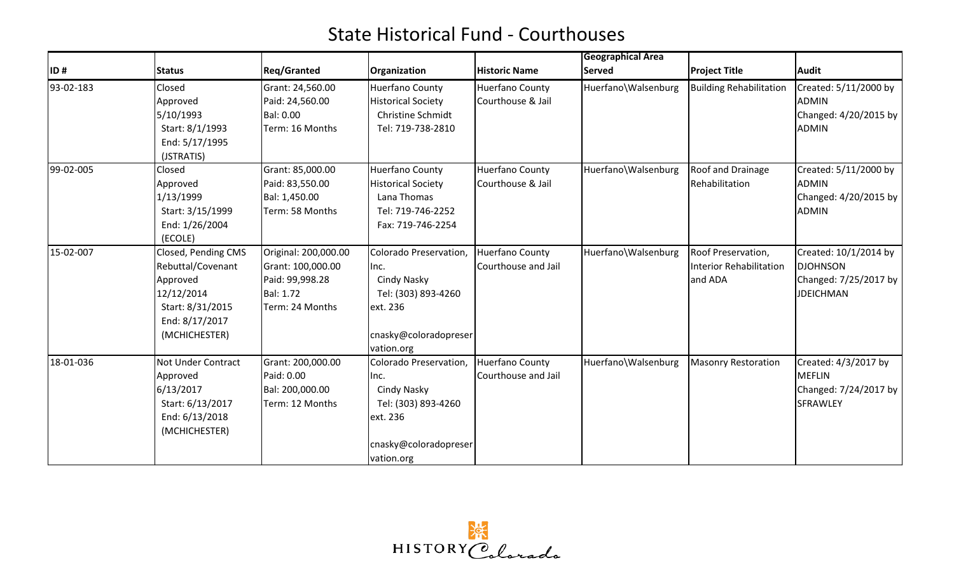|           |                     |                                     |                                              |                                             | <b>Geographical Area</b> |                                |                                       |
|-----------|---------------------|-------------------------------------|----------------------------------------------|---------------------------------------------|--------------------------|--------------------------------|---------------------------------------|
| ID#       | <b>Status</b>       | <b>Req/Granted</b>                  | Organization                                 | <b>Historic Name</b>                        | <b>Served</b>            | <b>Project Title</b>           | Audit                                 |
| 93-02-183 | Closed<br>Approved  | Grant: 24,560.00<br>Paid: 24,560.00 | Huerfano County<br><b>Historical Society</b> | <b>Huerfano County</b><br>Courthouse & Jail | Huerfano\Walsenburg      | <b>Building Rehabilitation</b> | Created: 5/11/2000 by<br><b>ADMIN</b> |
|           | 5/10/1993           | Bal: 0.00                           | Christine Schmidt                            |                                             |                          |                                | Changed: 4/20/2015 by                 |
|           | Start: 8/1/1993     | Term: 16 Months                     | Tel: 719-738-2810                            |                                             |                          |                                | <b>ADMIN</b>                          |
|           | End: 5/17/1995      |                                     |                                              |                                             |                          |                                |                                       |
|           | (JSTRATIS)          |                                     |                                              |                                             |                          |                                |                                       |
| 99-02-005 | Closed              | Grant: 85,000.00                    | <b>Huerfano County</b>                       | <b>Huerfano County</b>                      | Huerfano\Walsenburg      | Roof and Drainage              | Created: 5/11/2000 by                 |
|           | Approved            | Paid: 83,550.00                     | <b>Historical Society</b>                    | Courthouse & Jail                           |                          | Rehabilitation                 | <b>ADMIN</b>                          |
|           | 1/13/1999           | Bal: 1,450.00                       | Lana Thomas                                  |                                             |                          |                                | Changed: 4/20/2015 by                 |
|           | Start: 3/15/1999    | Term: 58 Months                     | Tel: 719-746-2252                            |                                             |                          |                                | <b>ADMIN</b>                          |
|           | End: 1/26/2004      |                                     | Fax: 719-746-2254                            |                                             |                          |                                |                                       |
|           | (ECOLE)             |                                     |                                              |                                             |                          |                                |                                       |
| 15-02-007 | Closed, Pending CMS | Original: 200,000.00                | Colorado Preservation,                       | <b>Huerfano County</b>                      | Huerfano\Walsenburg      | Roof Preservation,             | Created: 10/1/2014 by                 |
|           | Rebuttal/Covenant   | Grant: 100,000.00                   | lnc.                                         | Courthouse and Jail                         |                          | <b>Interior Rehabilitation</b> | <b>DJOHNSON</b>                       |
|           | Approved            | Paid: 99,998.28                     | Cindy Nasky                                  |                                             |                          | and ADA                        | Changed: 7/25/2017 by                 |
|           | 12/12/2014          | <b>Bal: 1.72</b>                    | Tel: (303) 893-4260                          |                                             |                          |                                | <b>JDEICHMAN</b>                      |
|           | Start: 8/31/2015    | Term: 24 Months                     | ext. 236                                     |                                             |                          |                                |                                       |
|           | End: 8/17/2017      |                                     |                                              |                                             |                          |                                |                                       |
|           | (MCHICHESTER)       |                                     | cnasky@coloradopreser                        |                                             |                          |                                |                                       |
|           |                     |                                     | vation.org                                   |                                             |                          |                                |                                       |
| 18-01-036 | Not Under Contract  | Grant: 200,000.00                   | Colorado Preservation,                       | <b>Huerfano County</b>                      | Huerfano\Walsenburg      | <b>Masonry Restoration</b>     | Created: 4/3/2017 by                  |
|           | Approved            | Paid: 0.00                          | Inc.                                         | Courthouse and Jail                         |                          |                                | <b>MEFLIN</b>                         |
|           | 6/13/2017           | Bal: 200,000.00                     | Cindy Nasky                                  |                                             |                          |                                | Changed: 7/24/2017 by                 |
|           | Start: 6/13/2017    | Term: 12 Months                     | Tel: (303) 893-4260                          |                                             |                          |                                | SFRAWLEY                              |
|           | End: 6/13/2018      |                                     | ext. 236                                     |                                             |                          |                                |                                       |
|           | (MCHICHESTER)       |                                     |                                              |                                             |                          |                                |                                       |
|           |                     |                                     | cnasky@coloradopreser                        |                                             |                          |                                |                                       |
|           |                     |                                     | vation.org                                   |                                             |                          |                                |                                       |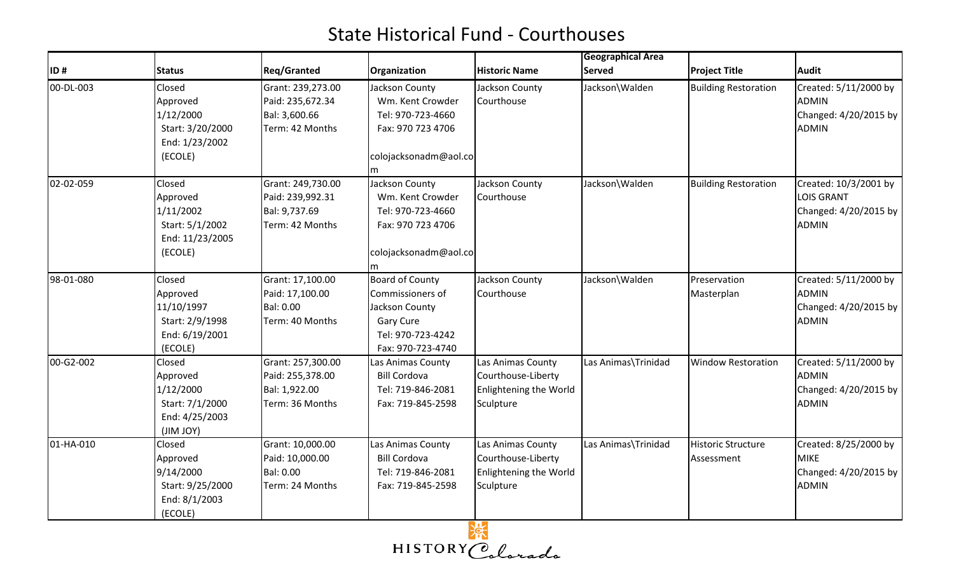|           |                                                                                         |                                                                           |                                                                                                                     |                                                                                | <b>Geographical Area</b> |                                  |                                                                                     |
|-----------|-----------------------------------------------------------------------------------------|---------------------------------------------------------------------------|---------------------------------------------------------------------------------------------------------------------|--------------------------------------------------------------------------------|--------------------------|----------------------------------|-------------------------------------------------------------------------------------|
| ID#       | <b>Status</b>                                                                           | <b>Reg/Granted</b>                                                        | Organization                                                                                                        | <b>Historic Name</b>                                                           | <b>Served</b>            | <b>Project Title</b>             | <b>Audit</b>                                                                        |
| 00-DL-003 | <b>Closed</b><br>Approved<br>1/12/2000<br>Start: 3/20/2000<br>End: 1/23/2002<br>(ECOLE) | Grant: 239,273.00<br>Paid: 235,672.34<br>Bal: 3,600.66<br>Term: 42 Months | Jackson County<br>Wm. Kent Crowder<br>Tel: 970-723-4660<br>Fax: 970 723 4706<br>colojacksonadm@aol.co<br>m          | Jackson County<br>Courthouse                                                   | Jackson\Walden           | <b>Building Restoration</b>      | Created: 5/11/2000 by<br><b>ADMIN</b><br>Changed: 4/20/2015 by<br>ADMIN             |
| 02-02-059 | Closed<br>Approved<br>1/11/2002<br>Start: 5/1/2002<br>End: 11/23/2005<br>(ECOLE)        | Grant: 249,730.00<br>Paid: 239,992.31<br>Bal: 9,737.69<br>Term: 42 Months | Jackson County<br>Wm. Kent Crowder<br>Tel: 970-723-4660<br>Fax: 970 723 4706<br>colojacksonadm@aol.co<br>m          | Jackson County<br>Courthouse                                                   | Jackson\Walden           | <b>Building Restoration</b>      | Created: 10/3/2001 by<br><b>LOIS GRANT</b><br>Changed: 4/20/2015 by<br><b>ADMIN</b> |
| 98-01-080 | Closed<br>Approved<br>11/10/1997<br>Start: 2/9/1998<br>End: 6/19/2001<br>(ECOLE)        | Grant: 17,100.00<br>Paid: 17,100.00<br>Bal: 0.00<br>Term: 40 Months       | <b>Board of County</b><br>Commissioners of<br>Jackson County<br>Gary Cure<br>Tel: 970-723-4242<br>Fax: 970-723-4740 | Jackson County<br>Courthouse                                                   | Jackson\Walden           | Preservation<br>Masterplan       | Created: 5/11/2000 by<br><b>ADMIN</b><br>Changed: 4/20/2015 by<br><b>ADMIN</b>      |
| 00-G2-002 | Closed<br>Approved<br>1/12/2000<br>Start: 7/1/2000<br>End: 4/25/2003<br>(JIM JOY)       | Grant: 257,300.00<br>Paid: 255,378.00<br>Bal: 1,922.00<br>Term: 36 Months | Las Animas County<br><b>Bill Cordova</b><br>Tel: 719-846-2081<br>Fax: 719-845-2598                                  | Las Animas County<br>Courthouse-Liberty<br>Enlightening the World<br>Sculpture | Las Animas\Trinidad      | <b>Window Restoration</b>        | Created: 5/11/2000 by<br><b>ADMIN</b><br>Changed: 4/20/2015 by<br><b>ADMIN</b>      |
| 01-HA-010 | Closed<br>Approved<br>9/14/2000<br>Start: 9/25/2000<br>End: 8/1/2003<br>(ECOLE)         | Grant: 10,000.00<br>Paid: 10,000.00<br>Bal: 0.00<br>Term: 24 Months       | Las Animas County<br><b>Bill Cordova</b><br>Tel: 719-846-2081<br>Fax: 719-845-2598                                  | Las Animas County<br>Courthouse-Liberty<br>Enlightening the World<br>Sculpture | Las Animas\Trinidad      | Historic Structure<br>Assessment | Created: 8/25/2000 by<br><b>MIKE</b><br>Changed: 4/20/2015 by<br><b>ADMIN</b>       |

HISTORY Colorado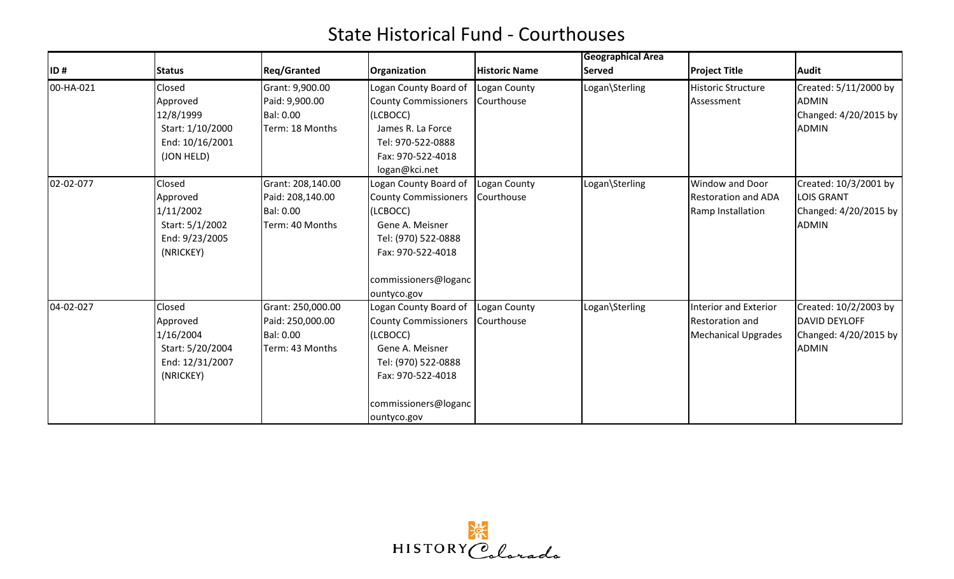|           |                                                                                     |                                                                              |                                                                                                                                                                        |                            | Geographical Area |                                                                               |                                                                                     |
|-----------|-------------------------------------------------------------------------------------|------------------------------------------------------------------------------|------------------------------------------------------------------------------------------------------------------------------------------------------------------------|----------------------------|-------------------|-------------------------------------------------------------------------------|-------------------------------------------------------------------------------------|
| ID#       | <b>Status</b>                                                                       | <b>Reg/Granted</b>                                                           | Organization                                                                                                                                                           | <b>Historic Name</b>       | <b>Served</b>     | <b>Project Title</b>                                                          | <b>Audit</b>                                                                        |
| 00-HA-021 | Closed<br>Approved<br>12/8/1999<br>Start: 1/10/2000<br>End: 10/16/2001              | Grant: 9,900.00<br>Paid: 9,900.00<br><b>Bal: 0.00</b><br>Term: 18 Months     | Logan County Board of<br><b>County Commissioners</b><br>(LCBOCC)<br>James R. La Force<br>Tel: 970-522-0888                                                             | Logan County<br>Courthouse | Logan\Sterling    | <b>Historic Structure</b><br>Assessment                                       | Created: 5/11/2000 by<br>ADMIN<br>Changed: 4/20/2015 by<br><b>ADMIN</b>             |
|           | (JON HELD)                                                                          |                                                                              | Fax: 970-522-4018<br>logan@kci.net                                                                                                                                     |                            |                   |                                                                               |                                                                                     |
| 02-02-077 | Closed<br>Approved<br>1/11/2002<br>Start: 5/1/2002<br>End: 9/23/2005<br>(NRICKEY)   | Grant: 208,140.00<br>Paid: 208,140.00<br><b>Bal: 0.00</b><br>Term: 40 Months | Logan County Board of<br><b>County Commissioners</b><br>(LCBOCC)<br>Gene A. Meisner<br>Tel: (970) 522-0888<br>Fax: 970-522-4018<br>commissioners@loganc<br>ountyco.gov | Logan County<br>Courthouse | Logan\Sterling    | Window and Door<br><b>Restoration and ADA</b><br>Ramp Installation            | Created: 10/3/2001 by<br><b>LOIS GRANT</b><br>Changed: 4/20/2015 by<br><b>ADMIN</b> |
| 04-02-027 | Closed<br>Approved<br>1/16/2004<br>Start: 5/20/2004<br>End: 12/31/2007<br>(NRICKEY) | Grant: 250,000.00<br>Paid: 250,000.00<br><b>Bal: 0.00</b><br>Term: 43 Months | Logan County Board of<br><b>County Commissioners</b><br>(LCBOCC)<br>Gene A. Meisner<br>Tel: (970) 522-0888<br>Fax: 970-522-4018<br>commissioners@loganc<br>ountyco.gov | Logan County<br>Courthouse | Logan\Sterling    | <b>Interior and Exterior</b><br>Restoration and<br><b>Mechanical Upgrades</b> | Created: 10/2/2003 by<br>DAVID DEYLOFF<br>Changed: 4/20/2015 by<br><b>ADMIN</b>     |

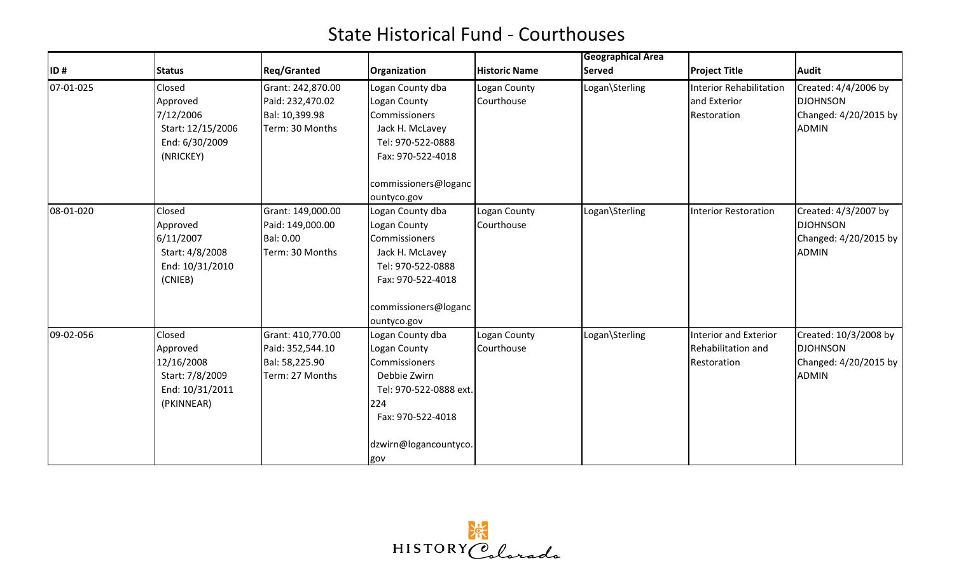|           |                                                                                      |                                                                            |                                                                                                                                                         |                            | <b>Geographical Area</b> |                                                                   |                                                                                   |
|-----------|--------------------------------------------------------------------------------------|----------------------------------------------------------------------------|---------------------------------------------------------------------------------------------------------------------------------------------------------|----------------------------|--------------------------|-------------------------------------------------------------------|-----------------------------------------------------------------------------------|
| ID#       | Status                                                                               | <b>Reg/Granted</b>                                                         | Organization                                                                                                                                            | <b>Historic Name</b>       | <b>Served</b>            | <b>Project Title</b>                                              | <b>Audit</b>                                                                      |
| 07-01-025 | Closed<br>Approved<br>7/12/2006<br>Start: 12/15/2006<br>End: 6/30/2009<br>(NRICKEY)  | Grant: 242,870.00<br>Paid: 232,470.02<br>Bal: 10,399.98<br>Term: 30 Months | Logan County dba<br>Logan County<br>Commissioners<br>Jack H. McLavey<br>Tel: 970-522-0888<br>Fax: 970-522-4018<br>commissioners@loganc                  | Logan County<br>Courthouse | Logan\Sterling           | Interior Rehabilitation<br>and Exterior<br>Restoration            | Created: 4/4/2006 by<br><b>DJOHNSON</b><br>Changed: 4/20/2015 by<br><b>ADMIN</b>  |
|           |                                                                                      |                                                                            | ountyco.gov                                                                                                                                             |                            |                          |                                                                   |                                                                                   |
| 08-01-020 | Closed<br>Approved<br>6/11/2007<br>Start: 4/8/2008<br>End: 10/31/2010<br>(CNIEB)     | Grant: 149,000.00<br>Paid: 149,000.00<br>Bal: 0.00<br>Term: 30 Months      | Logan County dba<br>Logan County<br>Commissioners<br>Jack H. McLavey<br>Tel: 970-522-0888<br>Fax: 970-522-4018<br>commissioners@loganc<br>ountyco.gov   | Logan County<br>Courthouse | Logan\Sterling           | <b>Interior Restoration</b>                                       | Created: 4/3/2007 by<br><b>DJOHNSON</b><br>Changed: 4/20/2015 by<br>ADMIN         |
| 09-02-056 | Closed<br>Approved<br>12/16/2008<br>Start: 7/8/2009<br>End: 10/31/2011<br>(PKINNEAR) | Grant: 410,770.00<br>Paid: 352,544.10<br>Bal: 58,225.90<br>Term: 27 Months | Logan County dba<br>Logan County<br>Commissioners<br>Debbie Zwirn<br>Tel: 970-522-0888 ext.<br>224<br>Fax: 970-522-4018<br>dzwirn@logancountyco.<br>gov | Logan County<br>Courthouse | Logan\Sterling           | Interior and Exterior<br><b>Rehabilitation and</b><br>Restoration | Created: 10/3/2008 by<br><b>DJOHNSON</b><br>Changed: 4/20/2015 by<br><b>ADMIN</b> |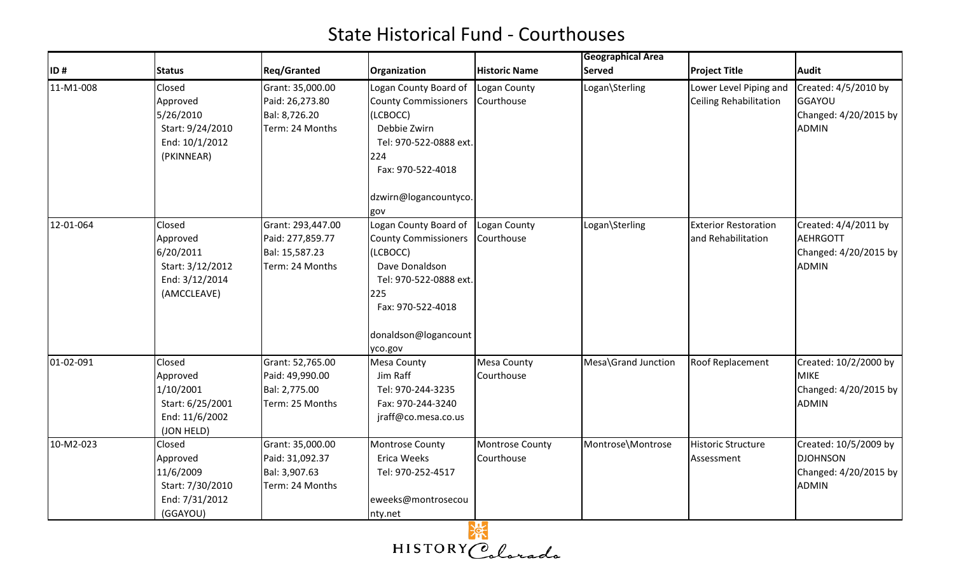|           |                                                                                      |                                                                            |                                                                                                                                                                                                |                                      | <b>Geographical Area</b> |                                                         |                                                                                   |
|-----------|--------------------------------------------------------------------------------------|----------------------------------------------------------------------------|------------------------------------------------------------------------------------------------------------------------------------------------------------------------------------------------|--------------------------------------|--------------------------|---------------------------------------------------------|-----------------------------------------------------------------------------------|
| ID#       | <b>Status</b>                                                                        | <b>Reg/Granted</b>                                                         | Organization                                                                                                                                                                                   | <b>Historic Name</b>                 | <b>Served</b>            | <b>Project Title</b>                                    | <b>Audit</b>                                                                      |
| 11-M1-008 | Closed<br>Approved<br>5/26/2010<br>Start: 9/24/2010<br>End: 10/1/2012<br>(PKINNEAR)  | Grant: 35,000.00<br>Paid: 26,273.80<br>Bal: 8,726.20<br>Term: 24 Months    | Logan County Board of   Logan County<br><b>County Commissioners</b><br>(LCBOCC)<br>Debbie Zwirn<br>Tel: 970-522-0888 ext.<br>224<br>Fax: 970-522-4018<br>dzwirn@logancountyco.<br>gov          | Courthouse                           | Logan\Sterling           | Lower Level Piping and<br><b>Ceiling Rehabilitation</b> | Created: 4/5/2010 by<br>GGAYOU<br>Changed: 4/20/2015 by<br>ADMIN                  |
| 12-01-064 | Closed<br>Approved<br>6/20/2011<br>Start: 3/12/2012<br>End: 3/12/2014<br>(AMCCLEAVE) | Grant: 293,447.00<br>Paid: 277,859.77<br>Bal: 15,587.23<br>Term: 24 Months | Logan County Board of   Logan County<br>County Commissioners Courthouse<br>(LCBOCC)<br>Dave Donaldson<br>Tel: 970-522-0888 ext.<br>225<br>Fax: 970-522-4018<br>donaldson@logancount<br>yco.gov |                                      | Logan\Sterling           | <b>Exterior Restoration</b><br>and Rehabilitation       | Created: 4/4/2011 by<br>AEHRGOTT<br>Changed: 4/20/2015 by<br><b>ADMIN</b>         |
| 01-02-091 | Closed<br>Approved<br>1/10/2001<br>Start: 6/25/2001<br>End: 11/6/2002<br>(JON HELD)  | Grant: 52,765.00<br>Paid: 49,990.00<br>Bal: 2,775.00<br>Term: 25 Months    | <b>Mesa County</b><br>Jim Raff<br>Tel: 970-244-3235<br>Fax: 970-244-3240<br>jraff@co.mesa.co.us                                                                                                | <b>Mesa County</b><br>Courthouse     | Mesa\Grand Junction      | <b>Roof Replacement</b>                                 | Created: 10/2/2000 by<br><b>MIKE</b><br>Changed: 4/20/2015 by<br><b>ADMIN</b>     |
| 10-M2-023 | Closed<br>Approved<br>11/6/2009<br>Start: 7/30/2010<br>End: 7/31/2012<br>(GGAYOU)    | Grant: 35,000.00<br>Paid: 31,092.37<br>Bal: 3,907.63<br>Term: 24 Months    | <b>Montrose County</b><br>Erica Weeks<br>Tel: 970-252-4517<br>eweeks@montrosecou<br>nty.net                                                                                                    | <b>Montrose County</b><br>Courthouse | Montrose\Montrose        | <b>Historic Structure</b><br>Assessment                 | Created: 10/5/2009 by<br><b>DJOHNSON</b><br>Changed: 4/20/2015 by<br><b>ADMIN</b> |

HISTORY Colorado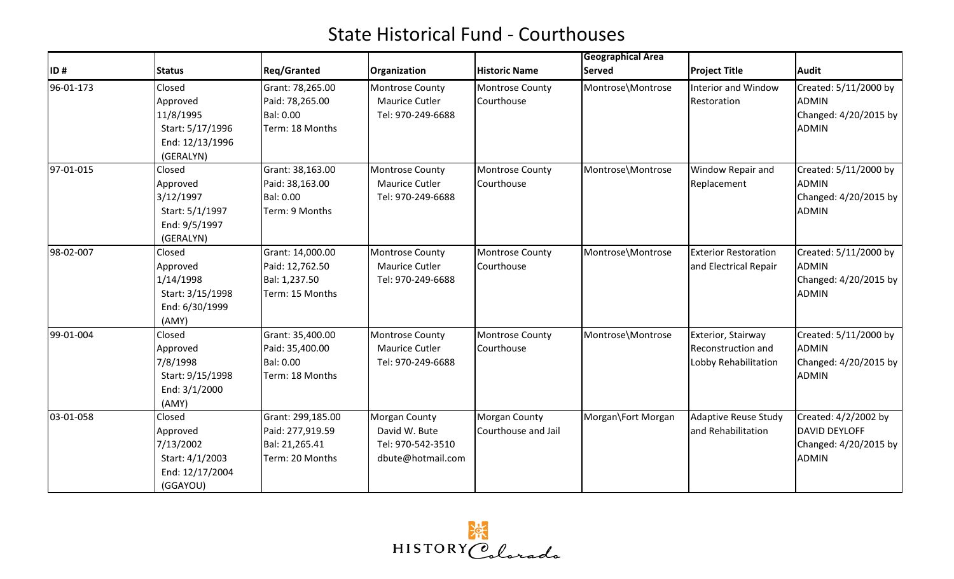|           |                                                                                     |                                                                            |                                                                                 |                                             | <b>Geographical Area</b> |                                                                  |                                                                                       |
|-----------|-------------------------------------------------------------------------------------|----------------------------------------------------------------------------|---------------------------------------------------------------------------------|---------------------------------------------|--------------------------|------------------------------------------------------------------|---------------------------------------------------------------------------------------|
| ID#       | <b>Status</b>                                                                       | <b>Reg/Granted</b>                                                         | Organization                                                                    | <b>Historic Name</b>                        | <b>Served</b>            | <b>Project Title</b>                                             | <b>Audit</b>                                                                          |
| 96-01-173 | Closed<br>Approved<br>11/8/1995<br>Start: 5/17/1996<br>End: 12/13/1996<br>(GERALYN) | Grant: 78,265.00<br>Paid: 78,265.00<br>Bal: 0.00<br>Term: 18 Months        | <b>Montrose County</b><br>Maurice Cutler<br>Tel: 970-249-6688                   | <b>Montrose County</b><br>Courthouse        | Montrose\Montrose        | Interior and Window<br>Restoration                               | Created: 5/11/2000 by<br><b>ADMIN</b><br>Changed: 4/20/2015 by<br><b>ADMIN</b>        |
| 97-01-015 | Closed<br>Approved<br>3/12/1997<br>Start: 5/1/1997<br>End: 9/5/1997<br>(GERALYN)    | Grant: 38,163.00<br>Paid: 38,163.00<br>Bal: 0.00<br>Term: 9 Months         | <b>Montrose County</b><br>Maurice Cutler<br>Tel: 970-249-6688                   | <b>Montrose County</b><br>Courthouse        | Montrose\Montrose        | Window Repair and<br>Replacement                                 | Created: 5/11/2000 by<br><b>ADMIN</b><br>Changed: 4/20/2015 by<br><b>ADMIN</b>        |
| 98-02-007 | Closed<br>Approved<br>1/14/1998<br>Start: 3/15/1998<br>End: 6/30/1999<br>(AMY)      | Grant: 14,000.00<br>Paid: 12,762.50<br>Bal: 1,237.50<br>Term: 15 Months    | Montrose County<br>Maurice Cutler<br>Tel: 970-249-6688                          | <b>Montrose County</b><br>Courthouse        | Montrose\Montrose        | <b>Exterior Restoration</b><br>and Electrical Repair             | Created: 5/11/2000 by<br><b>ADMIN</b><br>Changed: 4/20/2015 by<br><b>ADMIN</b>        |
| 99-01-004 | Closed<br>Approved<br>7/8/1998<br>Start: 9/15/1998<br>End: 3/1/2000<br>(AMY)        | Grant: 35,400.00<br>Paid: 35,400.00<br><b>Bal: 0.00</b><br>Term: 18 Months | Montrose County<br><b>Maurice Cutler</b><br>Tel: 970-249-6688                   | <b>Montrose County</b><br>Courthouse        | Montrose\Montrose        | Exterior, Stairway<br>Reconstruction and<br>Lobby Rehabilitation | Created: 5/11/2000 by<br><b>ADMIN</b><br>Changed: 4/20/2015 by<br><b>ADMIN</b>        |
| 03-01-058 | Closed<br>Approved<br>7/13/2002<br>Start: 4/1/2003<br>End: 12/17/2004<br>(GGAYOU)   | Grant: 299,185.00<br>Paid: 277,919.59<br>Bal: 21,265.41<br>Term: 20 Months | <b>Morgan County</b><br>David W. Bute<br>Tel: 970-542-3510<br>dbute@hotmail.com | <b>Morgan County</b><br>Courthouse and Jail | Morgan\Fort Morgan       | <b>Adaptive Reuse Study</b><br>and Rehabilitation                | Created: 4/2/2002 by<br><b>DAVID DEYLOFF</b><br>Changed: 4/20/2015 by<br><b>ADMIN</b> |

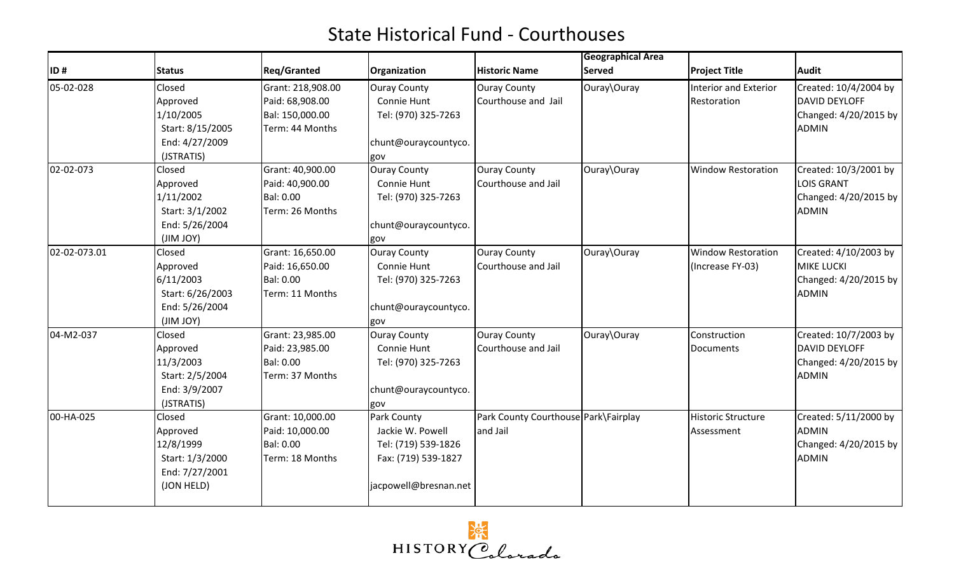|              |                  |                    |                       |                                      | <b>Geographical Area</b> |                              |                         |
|--------------|------------------|--------------------|-----------------------|--------------------------------------|--------------------------|------------------------------|-------------------------|
| ID#          | <b>Status</b>    | <b>Reg/Granted</b> | Organization          | <b>Historic Name</b>                 | <b>Served</b>            | <b>Project Title</b>         | <b>Audit</b>            |
| 05-02-028    | Closed           | Grant: 218,908.00  | <b>Ouray County</b>   | <b>Ouray County</b>                  | Ouray\Ouray              | <b>Interior and Exterior</b> | Created: 10/4/2004 by   |
|              | Approved         | Paid: 68,908.00    | Connie Hunt           | Courthouse and Jail                  |                          | Restoration                  | DAVID DEYLOFF           |
|              | 1/10/2005        | Bal: 150,000.00    | Tel: (970) 325-7263   |                                      |                          |                              | Changed: $4/20/2015$ by |
|              | Start: 8/15/2005 | Term: 44 Months    |                       |                                      |                          |                              | <b>ADMIN</b>            |
|              | End: 4/27/2009   |                    | chunt@ouraycountyco.  |                                      |                          |                              |                         |
|              | (JSTRATIS)       |                    | gov                   |                                      |                          |                              |                         |
| 02-02-073    | Closed           | Grant: 40,900.00   | <b>Ouray County</b>   | <b>Ouray County</b>                  | Ouray\Ouray              | <b>Window Restoration</b>    | Created: 10/3/2001 by   |
|              | Approved         | Paid: 40,900.00    | Connie Hunt           | Courthouse and Jail                  |                          |                              | <b>LOIS GRANT</b>       |
|              | 1/11/2002        | Bal: 0.00          | Tel: (970) 325-7263   |                                      |                          |                              | Changed: 4/20/2015 by   |
|              | Start: 3/1/2002  | Term: 26 Months    |                       |                                      |                          |                              | <b>ADMIN</b>            |
|              | End: 5/26/2004   |                    | chunt@ouraycountyco.  |                                      |                          |                              |                         |
|              | (JIM JOY)        |                    | gov                   |                                      |                          |                              |                         |
| 02-02-073.01 | Closed           | Grant: 16,650.00   | <b>Ouray County</b>   | <b>Ouray County</b>                  | Ouray\Ouray              | <b>Window Restoration</b>    | Created: 4/10/2003 by   |
|              | Approved         | Paid: 16,650.00    | Connie Hunt           | Courthouse and Jail                  |                          | (Increase FY-03)             | <b>MIKE LUCKI</b>       |
|              | 6/11/2003        | Bal: 0.00          | Tel: (970) 325-7263   |                                      |                          |                              | Changed: 4/20/2015 by   |
|              | Start: 6/26/2003 | Term: 11 Months    |                       |                                      |                          |                              | <b>ADMIN</b>            |
|              | End: 5/26/2004   |                    | chunt@ouraycountyco.  |                                      |                          |                              |                         |
|              | (JIM JOY)        |                    | gov                   |                                      |                          |                              |                         |
| 04-M2-037    | Closed           | Grant: 23,985.00   | <b>Ouray County</b>   | <b>Ouray County</b>                  | Ouray\Ouray              | Construction                 | Created: 10/7/2003 by   |
|              | Approved         | Paid: 23,985.00    | Connie Hunt           | Courthouse and Jail                  |                          | Documents                    | DAVID DEYLOFF           |
|              | 11/3/2003        | Bal: 0.00          | Tel: (970) 325-7263   |                                      |                          |                              | Changed: 4/20/2015 by   |
|              | Start: 2/5/2004  | Term: 37 Months    |                       |                                      |                          |                              | <b>ADMIN</b>            |
|              | End: 3/9/2007    |                    | chunt@ouraycountyco.  |                                      |                          |                              |                         |
|              | (JSTRATIS)       |                    | gov                   |                                      |                          |                              |                         |
| 00-HA-025    | Closed           | Grant: 10,000.00   | Park County           | Park County Courthouse Park\Fairplay |                          | <b>Historic Structure</b>    | Created: 5/11/2000 by   |
|              | Approved         | Paid: 10,000.00    | Jackie W. Powell      | and Jail                             |                          | Assessment                   | <b>ADMIN</b>            |
|              | 12/8/1999        | <b>Bal: 0.00</b>   | Tel: (719) 539-1826   |                                      |                          |                              | Changed: 4/20/2015 by   |
|              | Start: 1/3/2000  | Term: 18 Months    | Fax: (719) 539-1827   |                                      |                          |                              | <b>ADMIN</b>            |
|              | End: 7/27/2001   |                    |                       |                                      |                          |                              |                         |
|              | (JON HELD)       |                    | jacpowell@bresnan.net |                                      |                          |                              |                         |
|              |                  |                    |                       |                                      |                          |                              |                         |

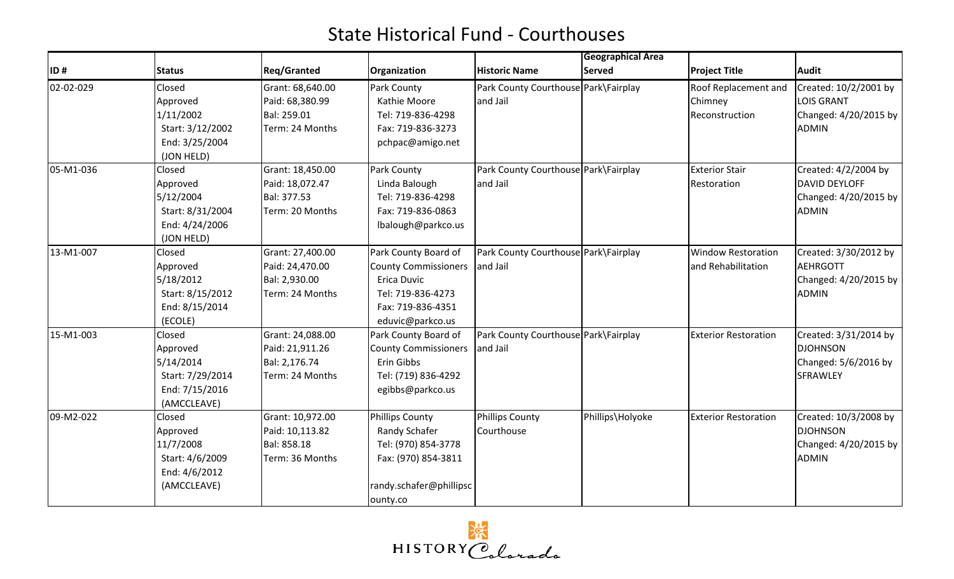|           |                  |                    |                             |                                      | <b>Geographical Area</b> |                             |                       |
|-----------|------------------|--------------------|-----------------------------|--------------------------------------|--------------------------|-----------------------------|-----------------------|
| ID#       | <b>Status</b>    | <b>Reg/Granted</b> | Organization                | <b>Historic Name</b>                 | <b>Served</b>            | <b>Project Title</b>        | <b>Audit</b>          |
| 02-02-029 | Closed           | Grant: 68,640.00   | Park County                 | Park County Courthouse Park\Fairplay |                          | Roof Replacement and        | Created: 10/2/2001 by |
|           | Approved         | Paid: 68,380.99    | Kathie Moore                | and Jail                             |                          | Chimney                     | <b>LOIS GRANT</b>     |
|           | 1/11/2002        | Bal: 259.01        | Tel: 719-836-4298           |                                      |                          | Reconstruction              | Changed: 4/20/2015 by |
|           | Start: 3/12/2002 | Term: 24 Months    | Fax: 719-836-3273           |                                      |                          |                             | <b>ADMIN</b>          |
|           | End: 3/25/2004   |                    | pchpac@amigo.net            |                                      |                          |                             |                       |
|           | (JON HELD)       |                    |                             |                                      |                          |                             |                       |
| 05-M1-036 | Closed           | Grant: 18,450.00   | Park County                 | Park County Courthouse Park\Fairplay |                          | <b>Exterior Stair</b>       | Created: 4/2/2004 by  |
|           | Approved         | Paid: 18,072.47    | Linda Balough               | and Jail                             |                          | Restoration                 | <b>DAVID DEYLOFF</b>  |
|           | 5/12/2004        | Bal: 377.53        | Tel: 719-836-4298           |                                      |                          |                             | Changed: 4/20/2015 by |
|           | Start: 8/31/2004 | Term: 20 Months    | Fax: 719-836-0863           |                                      |                          |                             | <b>ADMIN</b>          |
|           | End: 4/24/2006   |                    | lbalough@parkco.us          |                                      |                          |                             |                       |
|           | (JON HELD)       |                    |                             |                                      |                          |                             |                       |
| 13-M1-007 | Closed           | Grant: 27,400.00   | Park County Board of        | Park County Courthouse Park\Fairplay |                          | <b>Window Restoration</b>   | Created: 3/30/2012 by |
|           | Approved         | Paid: 24,470.00    | <b>County Commissioners</b> | and Jail                             |                          | and Rehabilitation          | <b>AEHRGOTT</b>       |
|           | 5/18/2012        | Bal: 2,930.00      | Erica Duvic                 |                                      |                          |                             | Changed: 4/20/2015 by |
|           | Start: 8/15/2012 | Term: 24 Months    | Tel: 719-836-4273           |                                      |                          |                             | <b>ADMIN</b>          |
|           | End: 8/15/2014   |                    | Fax: 719-836-4351           |                                      |                          |                             |                       |
|           | (ECOLE)          |                    | eduvic@parkco.us            |                                      |                          |                             |                       |
| 15-M1-003 | Closed           | Grant: 24,088.00   | Park County Board of        | Park County Courthouse Park\Fairplay |                          | <b>Exterior Restoration</b> | Created: 3/31/2014 by |
|           | Approved         | Paid: 21,911.26    | <b>County Commissioners</b> | and Jail                             |                          |                             | <b>DJOHNSON</b>       |
|           | 5/14/2014        | Bal: 2,176.74      | Erin Gibbs                  |                                      |                          |                             | Changed: 5/6/2016 by  |
|           | Start: 7/29/2014 | Term: 24 Months    | Tel: (719) 836-4292         |                                      |                          |                             | <b>SFRAWLEY</b>       |
|           | End: 7/15/2016   |                    | egibbs@parkco.us            |                                      |                          |                             |                       |
|           | (AMCCLEAVE)      |                    |                             |                                      |                          |                             |                       |
| 09-M2-022 | Closed           | Grant: 10,972.00   | <b>Phillips County</b>      | <b>Phillips County</b>               | Phillips\Holyoke         | <b>Exterior Restoration</b> | Created: 10/3/2008 by |
|           | Approved         | Paid: 10,113.82    | Randy Schafer               | Courthouse                           |                          |                             | <b>DJOHNSON</b>       |
|           | 11/7/2008        | Bal: 858.18        | Tel: (970) 854-3778         |                                      |                          |                             | Changed: 4/20/2015 by |
|           | Start: 4/6/2009  | Term: 36 Months    | Fax: (970) 854-3811         |                                      |                          |                             | <b>ADMIN</b>          |
|           | End: 4/6/2012    |                    |                             |                                      |                          |                             |                       |
|           | (AMCCLEAVE)      |                    | randy.schafer@phillipsc     |                                      |                          |                             |                       |
|           |                  |                    | ounty.co                    |                                      |                          |                             |                       |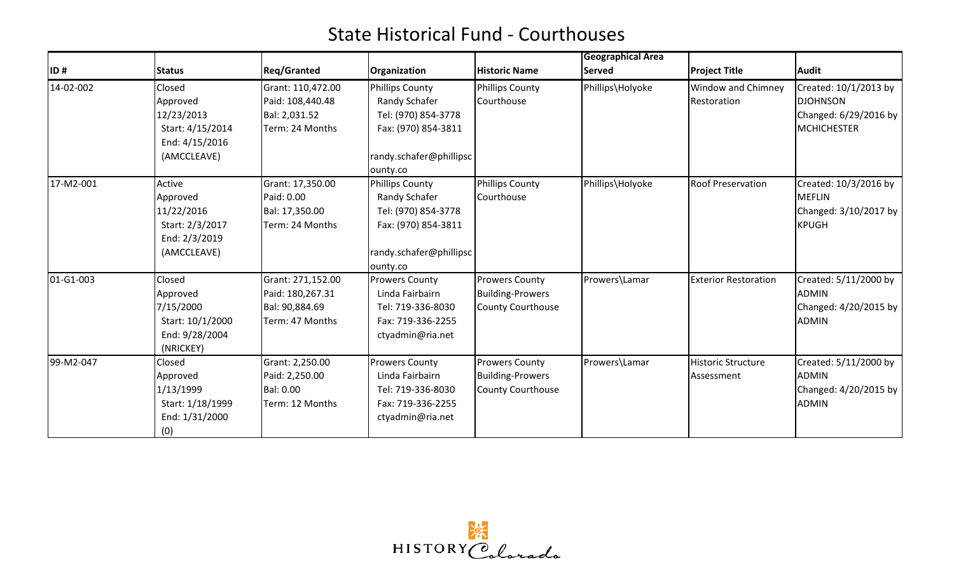| ID#       | <b>Status</b>                                                                         | <b>Reg/Granted</b>                                                         | Organization                                                                                                                 | <b>Historic Name</b>                                                  | <b>Geographical Area</b><br><b>Served</b> | <b>Project Title</b>                    | Audit                                                                            |
|-----------|---------------------------------------------------------------------------------------|----------------------------------------------------------------------------|------------------------------------------------------------------------------------------------------------------------------|-----------------------------------------------------------------------|-------------------------------------------|-----------------------------------------|----------------------------------------------------------------------------------|
| 14-02-002 | Closed<br>Approved<br>12/23/2013<br>Start: 4/15/2014<br>End: 4/15/2016<br>(AMCCLEAVE) | Grant: 110,472.00<br>Paid: 108,440.48<br>Bal: 2,031.52<br>Term: 24 Months  | <b>Phillips County</b><br>Randy Schafer<br>Tel: (970) 854-3778<br>Fax: (970) 854-3811<br>randy.schafer@phillipsc<br>ounty.co | Phillips County<br>Courthouse                                         | Phillips\Holyoke                          | Window and Chimney<br>Restoration       | Created: 10/1/2013 by<br><b>DJOHNSON</b><br>Changed: 6/29/2016 by<br>MCHICHESTER |
| 17-M2-001 | Active<br>Approved<br>11/22/2016<br>Start: 2/3/2017<br>End: 2/3/2019<br>(AMCCLEAVE)   | Grant: 17,350.00<br>Paid: 0.00<br>Bal: 17,350.00<br>Term: 24 Months        | <b>Phillips County</b><br>Randy Schafer<br>Tel: (970) 854-3778<br>Fax: (970) 854-3811<br>randy.schafer@phillipsc<br>ounty.co | Phillips County<br>Courthouse                                         | Phillips\Holyoke                          | <b>Roof Preservation</b>                | Created: 10/3/2016 by<br><b>MEFLIN</b><br>Changed: 3/10/2017 by<br><b>KPUGH</b>  |
| 01-G1-003 | Closed<br>Approved<br>7/15/2000<br>Start: 10/1/2000<br>End: 9/28/2004<br>(NRICKEY)    | Grant: 271,152.00<br>Paid: 180,267.31<br>Bal: 90,884.69<br>Term: 47 Months | <b>Prowers County</b><br>Linda Fairbairn<br>Tel: 719-336-8030<br>Fax: 719-336-2255<br>ctyadmin@ria.net                       | <b>Prowers County</b><br><b>Building-Prowers</b><br>County Courthouse | Prowers\Lamar                             | <b>Exterior Restoration</b>             | Created: 5/11/2000 by<br><b>ADMIN</b><br>Changed: 4/20/2015 by<br><b>ADMIN</b>   |
| 99-M2-047 | Closed<br>Approved<br>1/13/1999<br>Start: 1/18/1999<br>End: 1/31/2000<br>(0)          | Grant: 2,250.00<br>Paid: 2,250.00<br><b>Bal: 0.00</b><br>Term: 12 Months   | <b>Prowers County</b><br>Linda Fairbairn<br>Tel: 719-336-8030<br>Fax: 719-336-2255<br>ctyadmin@ria.net                       | <b>Prowers County</b><br><b>Building-Prowers</b><br>County Courthouse | Prowers\Lamar                             | <b>Historic Structure</b><br>Assessment | Created: 5/11/2000 by<br><b>ADMIN</b><br>Changed: 4/20/2015 by<br><b>ADMIN</b>   |

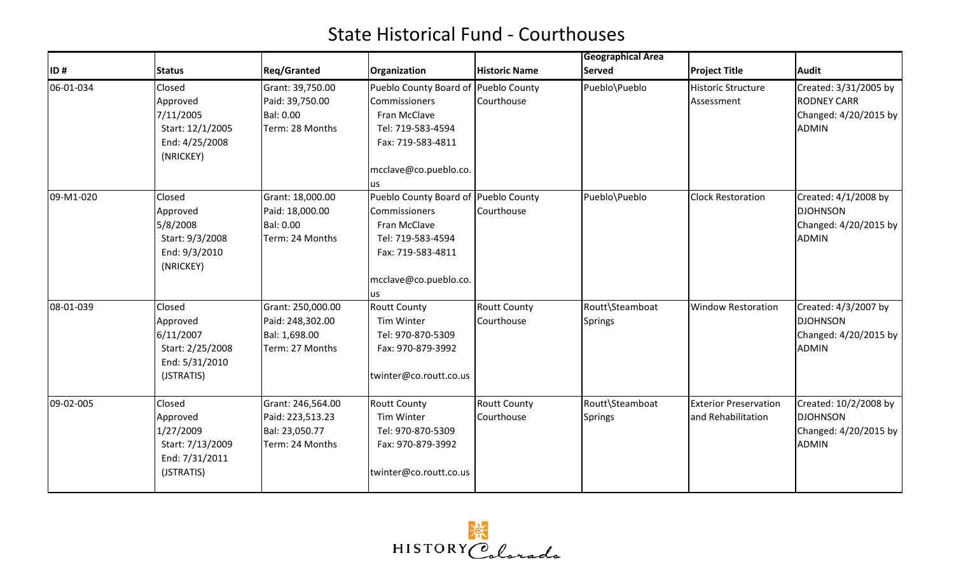|           |                                                                                     |                                                                            |                                                                                                                                                                    |                                   | <b>Geographical Area</b>          |                                                    |                                                                                      |
|-----------|-------------------------------------------------------------------------------------|----------------------------------------------------------------------------|--------------------------------------------------------------------------------------------------------------------------------------------------------------------|-----------------------------------|-----------------------------------|----------------------------------------------------|--------------------------------------------------------------------------------------|
| ID#       | <b>Status</b>                                                                       | <b>Reg/Granted</b>                                                         | Organization                                                                                                                                                       | <b>Historic Name</b>              | <b>Served</b>                     | <b>Project Title</b>                               | <b>Audit</b>                                                                         |
| 06-01-034 | Closed<br>Approved<br>7/11/2005<br>Start: 12/1/2005<br>End: 4/25/2008<br>(NRICKEY)  | Grant: 39,750.00<br>Paid: 39,750.00<br>Bal: 0.00<br>Term: 28 Months        | Pueblo County Board of Pueblo County<br><b>Commissioners</b><br>Fran McClave<br>Tel: 719-583-4594<br>Fax: 719-583-4811<br>mcclave@co.pueblo.co.                    | Courthouse                        | Pueblo\Pueblo                     | <b>Historic Structure</b><br>Assessment            | Created: 3/31/2005 by<br><b>RODNEY CARR</b><br>Changed: 4/20/2015 by<br><b>ADMIN</b> |
| 09-M1-020 | Closed<br>Approved<br>5/8/2008<br>Start: 9/3/2008<br>End: 9/3/2010<br>(NRICKEY)     | Grant: 18,000.00<br>Paid: 18,000.00<br>Bal: 0.00<br>Term: 24 Months        | <b>us</b><br>Pueblo County Board of Pueblo County<br><b>Commissioners</b><br>Fran McClave<br>Tel: 719-583-4594<br>Fax: 719-583-4811<br>mcclave@co.pueblo.co.<br>us | Courthouse                        | Pueblo\Pueblo                     | <b>Clock Restoration</b>                           | Created: 4/1/2008 by<br><b>DJOHNSON</b><br>Changed: 4/20/2015 by<br><b>ADMIN</b>     |
| 08-01-039 | Closed<br>Approved<br>6/11/2007<br>Start: 2/25/2008<br>End: 5/31/2010<br>(JSTRATIS) | Grant: 250,000.00<br>Paid: 248,302.00<br>Bal: 1,698.00<br>Term: 27 Months  | <b>Routt County</b><br>Tim Winter<br>Tel: 970-870-5309<br>Fax: 970-879-3992<br>twinter@co.routt.co.us                                                              | <b>Routt County</b><br>Courthouse | Routt\Steamboat<br><b>Springs</b> | <b>Window Restoration</b>                          | Created: 4/3/2007 by<br><b>DJOHNSON</b><br>Changed: 4/20/2015 by<br><b>ADMIN</b>     |
| 09-02-005 | Closed<br>Approved<br>1/27/2009<br>Start: 7/13/2009<br>End: 7/31/2011<br>(JSTRATIS) | Grant: 246,564.00<br>Paid: 223,513.23<br>Bal: 23,050.77<br>Term: 24 Months | <b>Routt County</b><br>Tim Winter<br>Tel: 970-870-5309<br>Fax: 970-879-3992<br>twinter@co.routt.co.us                                                              | <b>Routt County</b><br>Courthouse | Routt\Steamboat<br><b>Springs</b> | <b>Exterior Preservation</b><br>and Rehabilitation | Created: 10/2/2008 by<br><b>DJOHNSON</b><br>Changed: 4/20/2015 by<br><b>ADMIN</b>    |

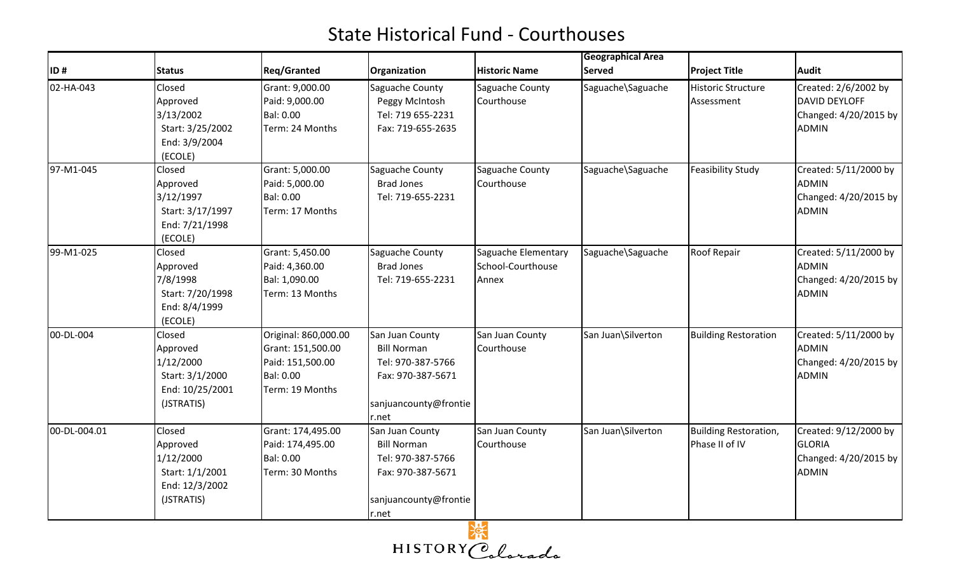|              |                                                                                     |                                                                                               |                                                                                                                   |                                                   | <b>Geographical Area</b> |                                         |                                                                                 |
|--------------|-------------------------------------------------------------------------------------|-----------------------------------------------------------------------------------------------|-------------------------------------------------------------------------------------------------------------------|---------------------------------------------------|--------------------------|-----------------------------------------|---------------------------------------------------------------------------------|
| ID#          | <b>Status</b>                                                                       | <b>Reg/Granted</b>                                                                            | Organization                                                                                                      | <b>Historic Name</b>                              | <b>Served</b>            | <b>Project Title</b>                    | <b>Audit</b>                                                                    |
| 02-HA-043    | Closed<br>Approved<br>3/13/2002<br>Start: 3/25/2002<br>End: 3/9/2004<br>(ECOLE)     | Grant: 9,000.00<br>Paid: 9,000.00<br>Bal: 0.00<br>Term: 24 Months                             | Saguache County<br>Peggy McIntosh<br>Tel: 719 655-2231<br>Fax: 719-655-2635                                       | Saguache County<br>Courthouse                     | Saguache\Saguache        | <b>Historic Structure</b><br>Assessment | Created: 2/6/2002 by<br>DAVID DEYLOFF<br>Changed: 4/20/2015 by<br><b>ADMIN</b>  |
| 97-M1-045    | Closed<br>Approved<br>3/12/1997<br>Start: 3/17/1997<br>End: 7/21/1998<br>(ECOLE)    | Grant: 5,000.00<br>Paid: 5,000.00<br>Bal: 0.00<br>Term: 17 Months                             | Saguache County<br><b>Brad Jones</b><br>Tel: 719-655-2231                                                         | Saguache County<br>Courthouse                     | Saguache\Saguache        | <b>Feasibility Study</b>                | Created: 5/11/2000 by<br><b>ADMIN</b><br>Changed: 4/20/2015 by<br><b>ADMIN</b>  |
| 99-M1-025    | Closed<br>Approved<br>7/8/1998<br>Start: 7/20/1998<br>End: 8/4/1999<br>(ECOLE)      | Grant: 5,450.00<br>Paid: 4,360.00<br>Bal: 1,090.00<br>Term: 13 Months                         | Saguache County<br><b>Brad Jones</b><br>Tel: 719-655-2231                                                         | Saguache Elementary<br>School-Courthouse<br>Annex | Saguache\Saguache        | <b>Roof Repair</b>                      | Created: 5/11/2000 by<br><b>ADMIN</b><br>Changed: 4/20/2015 by<br>ADMIN         |
| 00-DL-004    | Closed<br>Approved<br>1/12/2000<br>Start: 3/1/2000<br>End: 10/25/2001<br>(JSTRATIS) | Original: 860,000.00<br>Grant: 151,500.00<br>Paid: 151,500.00<br>Bal: 0.00<br>Term: 19 Months | San Juan County<br><b>Bill Norman</b><br>Tel: 970-387-5766<br>Fax: 970-387-5671<br>sanjuancounty@frontie<br>r.net | San Juan County<br>Courthouse                     | San Juan\Silverton       | <b>Building Restoration</b>             | Created: 5/11/2000 by<br><b>ADMIN</b><br>Changed: 4/20/2015 by<br><b>ADMIN</b>  |
| 00-DL-004.01 | Closed<br>Approved<br>1/12/2000<br>Start: 1/1/2001<br>End: 12/3/2002<br>(JSTRATIS)  | Grant: 174,495.00<br>Paid: 174,495.00<br>Bal: 0.00<br>Term: 30 Months                         | San Juan County<br><b>Bill Norman</b><br>Tel: 970-387-5766<br>Fax: 970-387-5671<br>sanjuancounty@frontie<br>r.net | San Juan County<br>Courthouse                     | San Juan\Silverton       | Building Restoration,<br>Phase II of IV | Created: 9/12/2000 by<br><b>GLORIA</b><br>Changed: 4/20/2015 by<br><b>ADMIN</b> |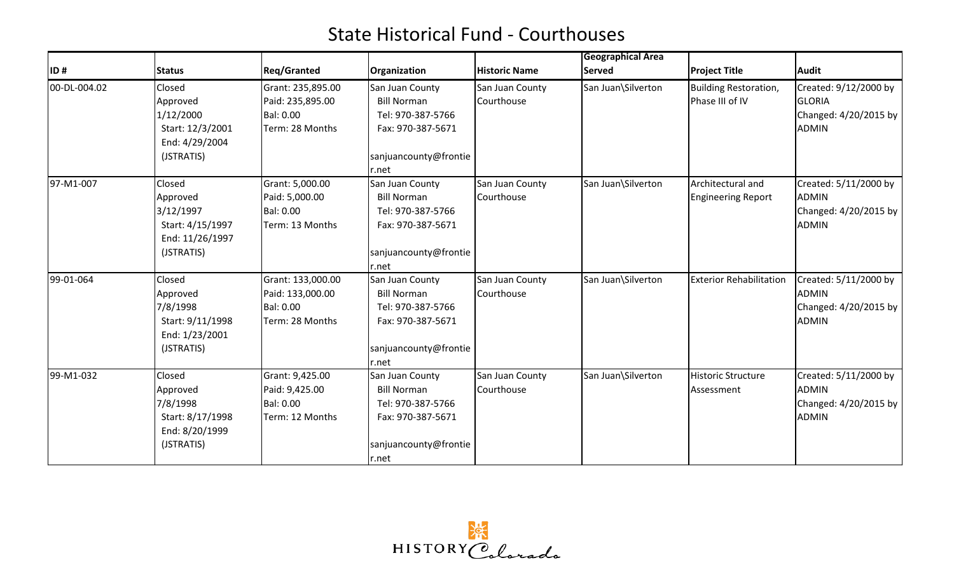|              |                                    | <b>Reg/Granted</b> |                       | <b>Historic Name</b> | <b>Geographical Area</b><br><b>Served</b> |                                |                         |
|--------------|------------------------------------|--------------------|-----------------------|----------------------|-------------------------------------------|--------------------------------|-------------------------|
| ID#          | <b>Status</b>                      |                    | Organization          |                      |                                           | <b>Project Title</b>           | Audit                   |
| 00-DL-004.02 | Closed                             | Grant: 235,895.00  | San Juan County       | San Juan County      | San Juan\Silverton                        | <b>Building Restoration,</b>   | Created: 9/12/2000 by   |
|              | Approved                           | Paid: 235,895.00   | <b>Bill Norman</b>    | Courthouse           |                                           | Phase III of IV                | GLORIA                  |
|              | 1/12/2000                          | <b>Bal: 0.00</b>   | Tel: 970-387-5766     |                      |                                           |                                | Changed: 4/20/2015 by   |
|              | Start: 12/3/2001<br>End: 4/29/2004 | Term: 28 Months    | Fax: 970-387-5671     |                      |                                           |                                | <b>ADMIN</b>            |
|              | (JSTRATIS)                         |                    | sanjuancounty@frontie |                      |                                           |                                |                         |
|              |                                    |                    | r.net                 |                      |                                           |                                |                         |
| 97-M1-007    | Closed                             | Grant: 5,000.00    | San Juan County       | San Juan County      | San Juan\Silverton                        | Architectural and              | Created: 5/11/2000 by   |
|              | Approved                           | Paid: 5,000.00     | <b>Bill Norman</b>    | Courthouse           |                                           | <b>Engineering Report</b>      | <b>ADMIN</b>            |
|              | 3/12/1997                          | <b>Bal: 0.00</b>   | Tel: 970-387-5766     |                      |                                           |                                | Changed: 4/20/2015 by   |
|              | Start: 4/15/1997                   | Term: 13 Months    | Fax: 970-387-5671     |                      |                                           |                                | <b>ADMIN</b>            |
|              | End: 11/26/1997                    |                    |                       |                      |                                           |                                |                         |
|              | (JSTRATIS)                         |                    | sanjuancounty@frontie |                      |                                           |                                |                         |
|              |                                    |                    | r.net                 |                      |                                           |                                |                         |
| 99-01-064    | Closed                             | Grant: 133,000.00  | San Juan County       | San Juan County      | San Juan\Silverton                        | <b>Exterior Rehabilitation</b> | Created: 5/11/2000 by   |
|              | Approved                           | Paid: 133,000.00   | <b>Bill Norman</b>    | Courthouse           |                                           |                                | <b>ADMIN</b>            |
|              | 7/8/1998                           | Bal: 0.00          | Tel: 970-387-5766     |                      |                                           |                                | Changed: $4/20/2015$ by |
|              | Start: 9/11/1998                   | Term: 28 Months    | Fax: 970-387-5671     |                      |                                           |                                | <b>ADMIN</b>            |
|              | End: 1/23/2001                     |                    |                       |                      |                                           |                                |                         |
|              | (JSTRATIS)                         |                    | sanjuancounty@frontie |                      |                                           |                                |                         |
|              |                                    |                    | r.net                 |                      |                                           |                                |                         |
| 99-M1-032    | Closed                             | Grant: 9,425.00    | San Juan County       | San Juan County      | San Juan\Silverton                        | <b>Historic Structure</b>      | Created: 5/11/2000 by   |
|              | Approved                           | Paid: 9,425.00     | <b>Bill Norman</b>    | Courthouse           |                                           | Assessment                     | <b>ADMIN</b>            |
|              | 7/8/1998                           | <b>Bal: 0.00</b>   | Tel: 970-387-5766     |                      |                                           |                                | Changed: 4/20/2015 by   |
|              | Start: 8/17/1998                   | Term: 12 Months    | Fax: 970-387-5671     |                      |                                           |                                | <b>ADMIN</b>            |
|              | End: 8/20/1999                     |                    |                       |                      |                                           |                                |                         |
|              | (JSTRATIS)                         |                    | sanjuancounty@frontie |                      |                                           |                                |                         |
|              |                                    |                    | r.net                 |                      |                                           |                                |                         |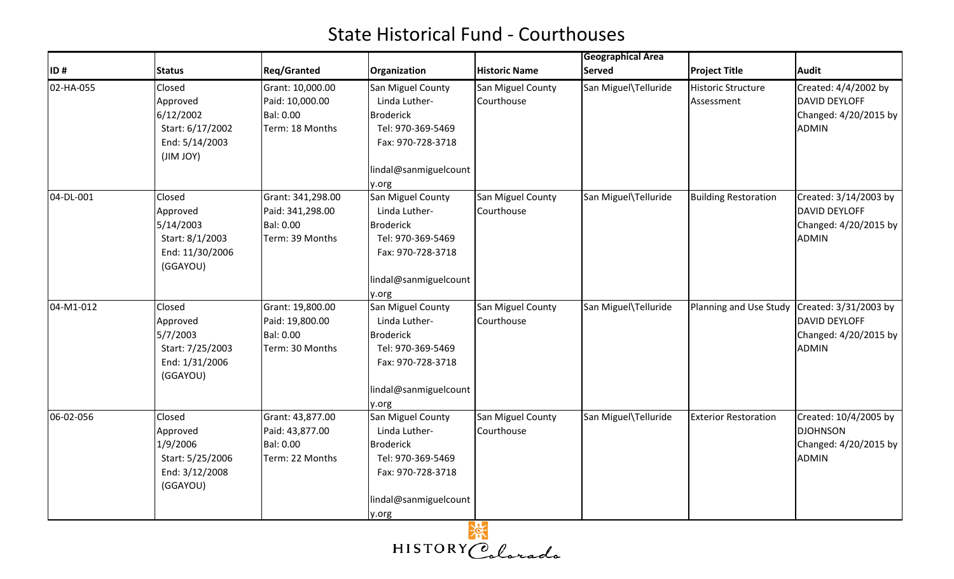|           |                                                                                    |                                                                              |                                                                                                                                    |                                 | <b>Geographical Area</b> |                                  |                                                                                   |
|-----------|------------------------------------------------------------------------------------|------------------------------------------------------------------------------|------------------------------------------------------------------------------------------------------------------------------------|---------------------------------|--------------------------|----------------------------------|-----------------------------------------------------------------------------------|
| ID#       | <b>Status</b>                                                                      | <b>Reg/Granted</b>                                                           | <b>Organization</b>                                                                                                                | <b>Historic Name</b>            | <b>Served</b>            | <b>Project Title</b>             | <b>Audit</b>                                                                      |
| 02-HA-055 | Closed<br>Approved<br>6/12/2002<br>Start: 6/17/2002<br>End: 5/14/2003<br>(JIM JOY) | Grant: 10,000.00<br>Paid: 10,000.00<br><b>Bal: 0.00</b><br>Term: 18 Months   | San Miguel County<br>Linda Luther-<br><b>Broderick</b><br>Tel: 970-369-5469<br>Fax: 970-728-3718<br>lindal@sanmiguelcount<br>y.org | San Miguel County<br>Courthouse | San Miguel\Telluride     | Historic Structure<br>Assessment | Created: 4/4/2002 by<br>DAVID DEYLOFF<br>Changed: 4/20/2015 by<br><b>ADMIN</b>    |
| 04-DL-001 | Closed<br>Approved<br>5/14/2003<br>Start: 8/1/2003<br>End: 11/30/2006<br>(GGAYOU)  | Grant: 341,298.00<br>Paid: 341,298.00<br><b>Bal: 0.00</b><br>Term: 39 Months | San Miguel County<br>Linda Luther-<br><b>Broderick</b><br>Tel: 970-369-5469<br>Fax: 970-728-3718<br>lindal@sanmiguelcount<br>y.org | San Miguel County<br>Courthouse | San Miguel\Telluride     | <b>Building Restoration</b>      | Created: 3/14/2003 by<br>DAVID DEYLOFF<br>Changed: 4/20/2015 by<br><b>ADMIN</b>   |
| 04-M1-012 | Closed<br>Approved<br>5/7/2003<br>Start: 7/25/2003<br>End: 1/31/2006<br>(GGAYOU)   | Grant: 19,800.00<br>Paid: 19,800.00<br><b>Bal: 0.00</b><br>Term: 30 Months   | San Miguel County<br>Linda Luther-<br><b>Broderick</b><br>Tel: 970-369-5469<br>Fax: 970-728-3718<br>lindal@sanmiguelcount<br>y.org | San Miguel County<br>Courthouse | San Miguel\Telluride     | Planning and Use Study           | Created: 3/31/2003 by<br>DAVID DEYLOFF<br>Changed: 4/20/2015 by<br><b>ADMIN</b>   |
| 06-02-056 | Closed<br>Approved<br>1/9/2006<br>Start: 5/25/2006<br>End: 3/12/2008<br>(GGAYOU)   | Grant: 43,877.00<br>Paid: 43,877.00<br><b>Bal: 0.00</b><br>Term: 22 Months   | San Miguel County<br>Linda Luther-<br><b>Broderick</b><br>Tel: 970-369-5469<br>Fax: 970-728-3718<br>lindal@sanmiguelcount<br>y.org | San Miguel County<br>Courthouse | San Miguel\Telluride     | <b>Exterior Restoration</b>      | Created: 10/4/2005 by<br><b>DJOHNSON</b><br>Changed: 4/20/2015 by<br><b>ADMIN</b> |

HISTORY Colorada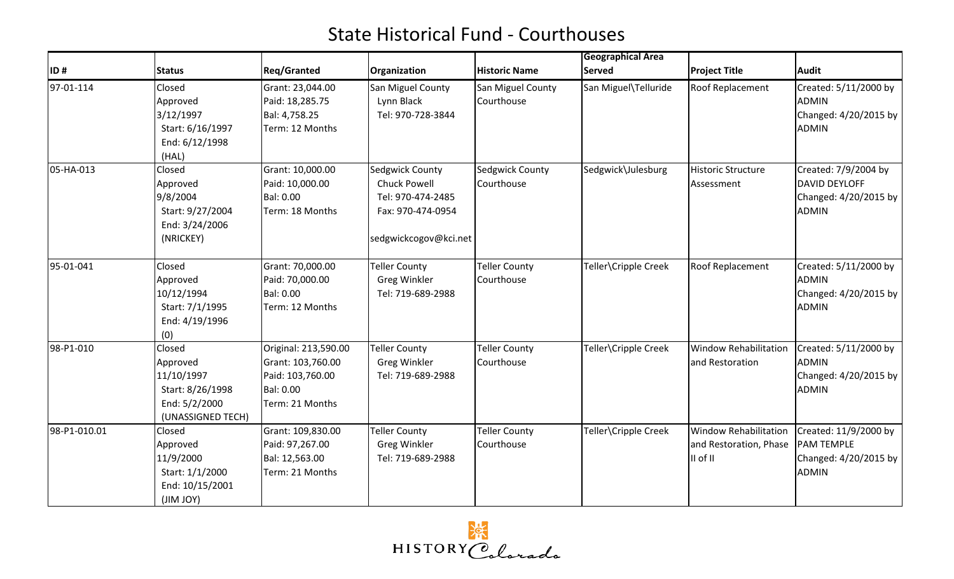|              |                                                                                            |                                                                                               |                                                                                                           |                                    | <b>Geographical Area</b> |                                                                    |                                                                                     |
|--------------|--------------------------------------------------------------------------------------------|-----------------------------------------------------------------------------------------------|-----------------------------------------------------------------------------------------------------------|------------------------------------|--------------------------|--------------------------------------------------------------------|-------------------------------------------------------------------------------------|
| ID#          | <b>Status</b>                                                                              | <b>Reg/Granted</b>                                                                            | Organization                                                                                              | <b>Historic Name</b>               | <b>Served</b>            | <b>Project Title</b>                                               | <b>Audit</b>                                                                        |
| 97-01-114    | Closed<br>Approved<br>3/12/1997<br>Start: 6/16/1997<br>End: 6/12/1998<br>(HAL)             | Grant: 23,044.00<br>Paid: 18,285.75<br>Bal: 4,758.25<br>Term: 12 Months                       | San Miguel County<br>Lynn Black<br>Tel: 970-728-3844                                                      | San Miguel County<br>Courthouse    | San Miguel\Telluride     | <b>Roof Replacement</b>                                            | Created: 5/11/2000 by<br><b>ADMIN</b><br>Changed: 4/20/2015 by<br><b>ADMIN</b>      |
| 05-HA-013    | Closed<br>Approved<br>9/8/2004<br>Start: 9/27/2004<br>End: 3/24/2006<br>(NRICKEY)          | Grant: 10,000.00<br>Paid: 10,000.00<br>Bal: 0.00<br>Term: 18 Months                           | Sedgwick County<br><b>Chuck Powell</b><br>Tel: 970-474-2485<br>Fax: 970-474-0954<br>sedgwickcogov@kci.net | Sedgwick County<br>Courthouse      | Sedgwick\Julesburg       | <b>Historic Structure</b><br>Assessment                            | Created: 7/9/2004 by<br>DAVID DEYLOFF<br>Changed: 4/20/2015 by<br><b>ADMIN</b>      |
| 95-01-041    | Closed<br>Approved<br>10/12/1994<br>Start: 7/1/1995<br>End: 4/19/1996<br>(0)               | Grant: 70,000.00<br>Paid: 70,000.00<br>Bal: 0.00<br>Term: 12 Months                           | Teller County<br><b>Greg Winkler</b><br>Tel: 719-689-2988                                                 | <b>Teller County</b><br>Courthouse | Teller\Cripple Creek     | Roof Replacement                                                   | Created: 5/11/2000 by<br><b>ADMIN</b><br>Changed: 4/20/2015 by<br><b>ADMIN</b>      |
| 98-P1-010    | Closed<br>Approved<br>11/10/1997<br>Start: 8/26/1998<br>End: 5/2/2000<br>(UNASSIGNED TECH) | Original: 213,590.00<br>Grant: 103,760.00<br>Paid: 103,760.00<br>Bal: 0.00<br>Term: 21 Months | <b>Teller County</b><br><b>Greg Winkler</b><br>Tel: 719-689-2988                                          | <b>Teller County</b><br>Courthouse | Teller\Cripple Creek     | <b>Window Rehabilitation</b><br>and Restoration                    | Created: 5/11/2000 by<br><b>ADMIN</b><br>Changed: 4/20/2015 by<br><b>ADMIN</b>      |
| 98-P1-010.01 | Closed<br>Approved<br>11/9/2000<br>Start: 1/1/2000<br>End: 10/15/2001<br>(JIM JOY)         | Grant: 109,830.00<br>Paid: 97,267.00<br>Bal: 12,563.00<br>Term: 21 Months                     | Teller County<br><b>Greg Winkler</b><br>Tel: 719-689-2988                                                 | <b>Teller County</b><br>Courthouse | Teller\Cripple Creek     | <b>Window Rehabilitation</b><br>and Restoration, Phase<br>II of II | Created: 11/9/2000 by<br><b>PAM TEMPLE</b><br>Changed: 4/20/2015 by<br><b>ADMIN</b> |